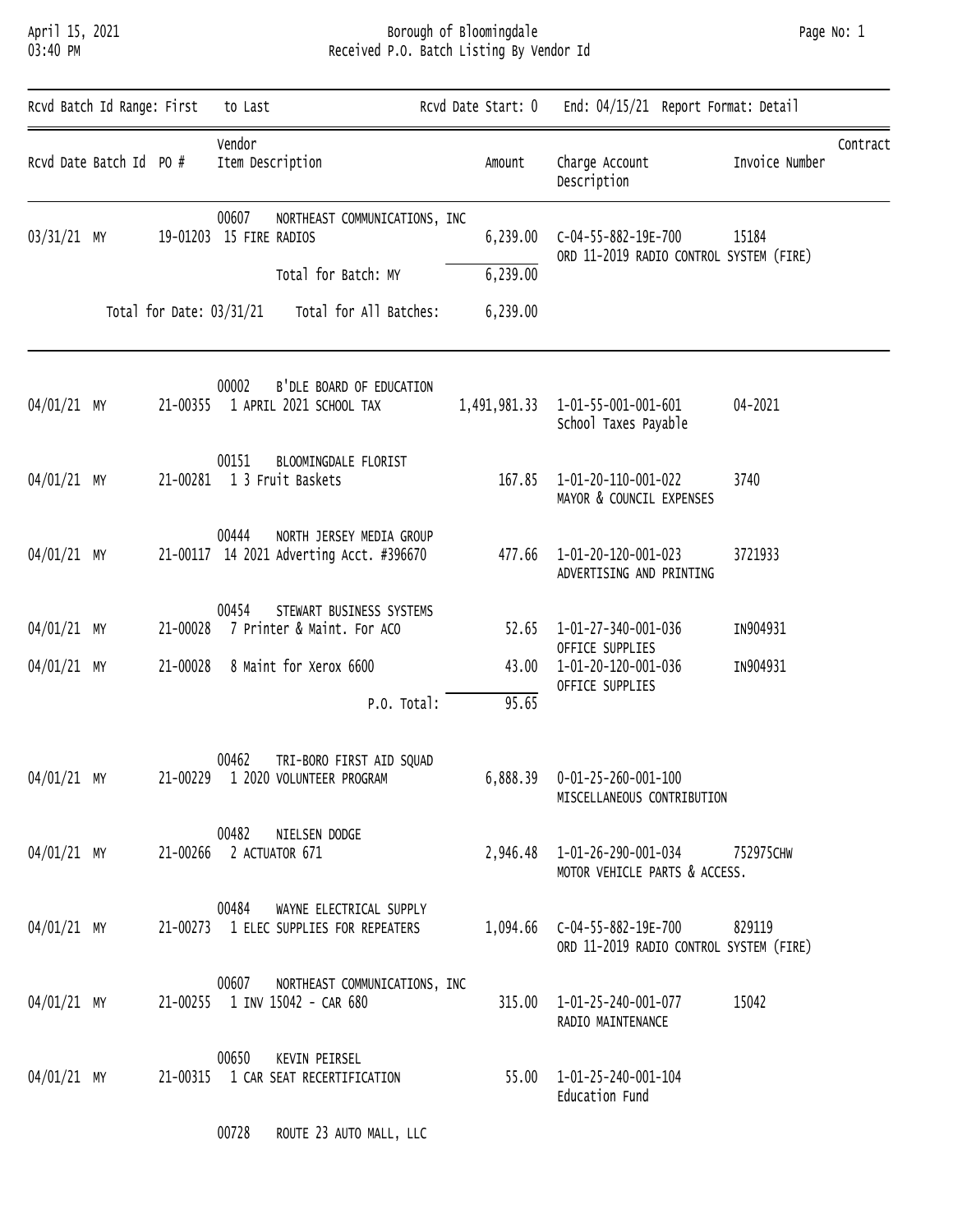### April 15, 2021 Borough of Bloomingdale Page No: 1 03:40 PM Received P.O. Batch Listing By Vendor Id

| Page No: 1 |  |
|------------|--|
|            |  |

| Rcvd Batch Id Range: First |                          | to Last                                                                       | Rcvd Date Start: 0   | End: 04/15/21 Report Format: Detail                            |                |          |
|----------------------------|--------------------------|-------------------------------------------------------------------------------|----------------------|----------------------------------------------------------------|----------------|----------|
| Rcvd Date Batch Id PO #    |                          | Vendor<br>Item Description                                                    | Amount               | Charge Account<br>Description                                  | Invoice Number | Contract |
| 03/31/21 MY                |                          | 00607<br>NORTHEAST COMMUNICATIONS, INC<br>19-01203 15 FIRE RADIOS             | 6,239.00             | C-04-55-882-19E-700<br>ORD 11-2019 RADIO CONTROL SYSTEM (FIRE) | 15184          |          |
|                            |                          | Total for Batch: MY                                                           | 6,239.00             |                                                                |                |          |
|                            | Total for Date: 03/31/21 | Total for All Batches:                                                        | 6,239.00             |                                                                |                |          |
| 04/01/21 MY                |                          | 00002<br>B'DLE BOARD OF EDUCATION<br>21-00355 1 APRIL 2021 SCHOOL TAX         | 1,491,981.33         | 1-01-55-001-001-601<br>School Taxes Payable                    | 04-2021        |          |
| 04/01/21 MY                |                          | 00151<br>BLOOMINGDALE FLORIST<br>21-00281 1 3 Fruit Baskets                   | 167.85               | 1-01-20-110-001-022<br>MAYOR & COUNCIL EXPENSES                | 3740           |          |
| 04/01/21 MY                |                          | 00444<br>NORTH JERSEY MEDIA GROUP<br>21-00117 14 2021 Adverting Acct. #396670 | 477.66               | 1-01-20-120-001-023<br>ADVERTISING AND PRINTING                | 3721933        |          |
| 04/01/21 MY                | 21-00028                 | 00454<br>STEWART BUSINESS SYSTEMS<br>7 Printer & Maint. For ACO               | 52.65                | 1-01-27-340-001-036<br>OFFICE SUPPLIES                         | IN904931       |          |
| 04/01/21 MY                | 21-00028                 | 8 Maint for Xerox 6600                                                        | 43.00                | 1-01-20-120-001-036<br>OFFICE SUPPLIES                         | IN904931       |          |
|                            |                          |                                                                               | 95.65<br>P.O. Total: |                                                                |                |          |
| 04/01/21 MY                |                          | 00462<br>TRI-BORO FIRST AID SQUAD<br>21-00229 1 2020 VOLUNTEER PROGRAM        |                      | 6,888.39  0-01-25-260-001-100<br>MISCELLANEOUS CONTRIBUTION    |                |          |
| 04/01/21 MY                |                          | 00482<br>NIELSEN DODGE<br>21-00266 2 ACTUATOR 671                             |                      | 2,946.48  1-01-26-290-001-034<br>MOTOR VEHICLE PARTS & ACCESS. | 752975CHW      |          |
| 04/01/21 MY                |                          | 00484<br>WAYNE ELECTRICAL SUPPLY<br>21-00273 1 ELEC SUPPLIES FOR REPEATERS    |                      | ORD 11-2019 RADIO CONTROL SYSTEM (FIRE)                        | 829119         |          |
| 04/01/21 MY                |                          | 00607<br>NORTHEAST COMMUNICATIONS, INC<br>21-00255 1 INV 15042 - CAR 680      |                      | 315.00  1-01-25-240-001-077<br>RADIO MAINTENANCE               | 15042          |          |
| 04/01/21 MY                |                          | 00650<br>KEVIN PEIRSEL<br>21-00315 1 CAR SEAT RECERTIFICATION                 |                      | 55.00  1-01-25-240-001-104<br>Education Fund                   |                |          |
|                            |                          | 00728<br>ROUTE 23 AUTO MALL, LLC                                              |                      |                                                                |                |          |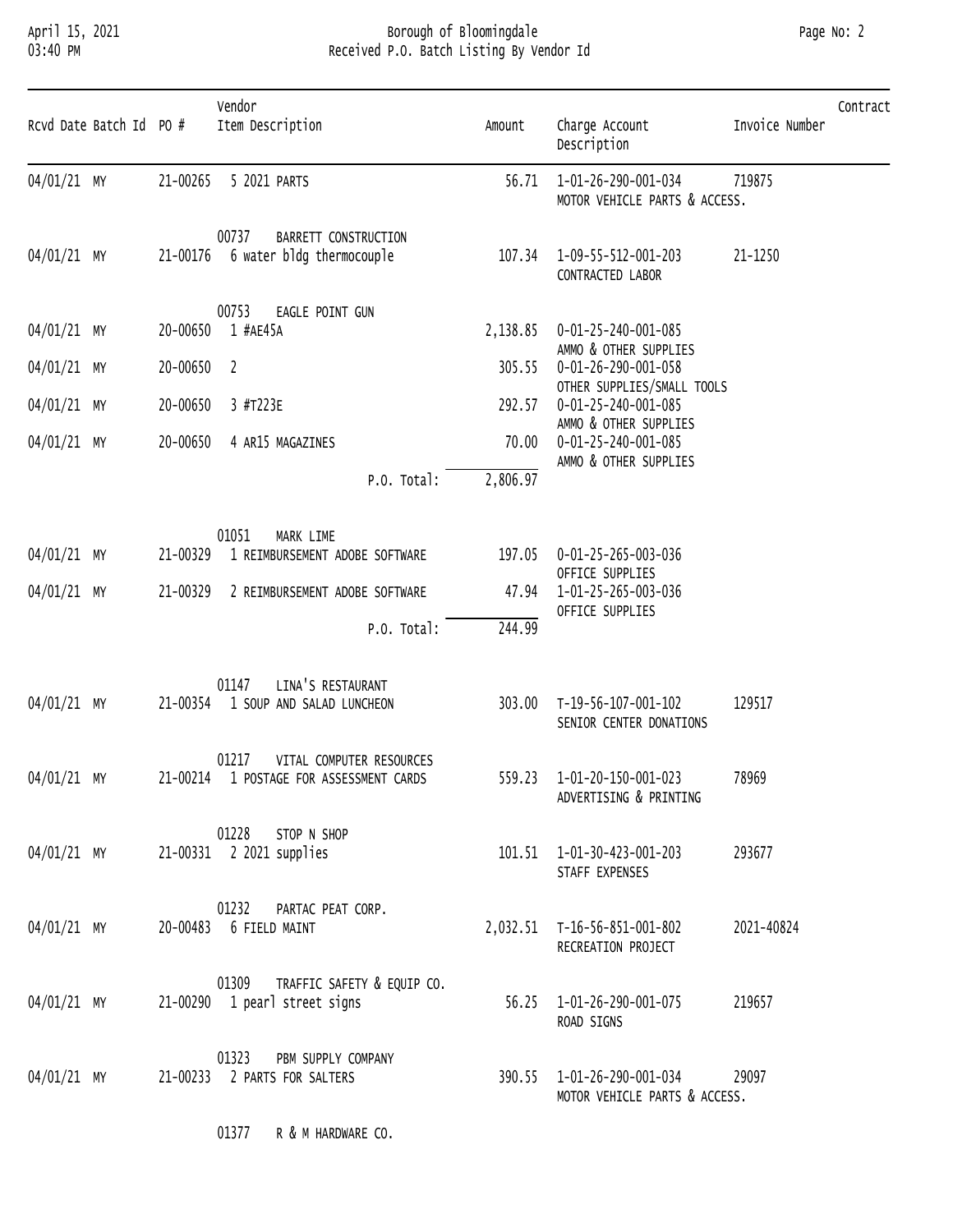### April 15, 2021 Borough of Bloomingdale Page No: 2 03:40 PM Received P.O. Batch Listing By Vendor Id

| Rcvd Date Batch Id PO # |          | Vendor<br>Item Description                                                   | Amount   | Charge Account<br>Description                                              | Invoice Number | Contract |
|-------------------------|----------|------------------------------------------------------------------------------|----------|----------------------------------------------------------------------------|----------------|----------|
| 04/01/21 MY             | 21-00265 | 5 2021 PARTS                                                                 | 56.71    | 1-01-26-290-001-034<br>MOTOR VEHICLE PARTS & ACCESS.                       | 719875         |          |
| 04/01/21 MY             | 21-00176 | 00737<br>BARRETT CONSTRUCTION<br>6 water bldg thermocouple                   | 107.34   | 1-09-55-512-001-203<br>CONTRACTED LABOR                                    | 21-1250        |          |
| 04/01/21 MY             | 20-00650 | 00753<br>EAGLE POINT GUN<br>1 #AE45A                                         | 2,138.85 | 0-01-25-240-001-085<br>AMMO & OTHER SUPPLIES                               |                |          |
| 04/01/21 MY             | 20-00650 | $\overline{\phantom{0}}$                                                     | 305.55   | 0-01-26-290-001-058                                                        |                |          |
| 04/01/21 MY             | 20-00650 | 3 #T223E                                                                     | 292.57   | OTHER SUPPLIES/SMALL TOOLS<br>0-01-25-240-001-085<br>AMMO & OTHER SUPPLIES |                |          |
| 04/01/21 MY             | 20-00650 | 4 AR15 MAGAZINES                                                             | 70.00    | 0-01-25-240-001-085<br>AMMO & OTHER SUPPLIES                               |                |          |
|                         |          | P.O. Total:                                                                  | 2,806.97 |                                                                            |                |          |
| 04/01/21 MY             | 21-00329 | 01051<br>MARK LIME<br>1 REIMBURSEMENT ADOBE SOFTWARE                         | 197.05   | 0-01-25-265-003-036<br>OFFICE SUPPLIES                                     |                |          |
| 04/01/21 MY             | 21-00329 | 2 REIMBURSEMENT ADOBE SOFTWARE                                               | 47.94    | 1-01-25-265-003-036<br>OFFICE SUPPLIES                                     |                |          |
|                         |          | P.O. Total:                                                                  | 244.99   |                                                                            |                |          |
| 04/01/21 MY             |          | 01147<br>LINA'S RESTAURANT<br>21-00354 1 SOUP AND SALAD LUNCHEON             |          | 303.00 T-19-56-107-001-102<br>SENIOR CENTER DONATIONS                      | 129517         |          |
| 04/01/21 MY             |          | 01217<br>VITAL COMPUTER RESOURCES<br>21-00214 1 POSTAGE FOR ASSESSMENT CARDS |          | 559.23  1-01-20-150-001-023<br>ADVERTISING & PRINTING                      | 78969          |          |
| 04/01/21 MY             |          | 01228<br>STOP N SHOP<br>21-00331 2 2021 supplies                             |          | 101.51  1-01-30-423-001-203<br>STAFF EXPENSES                              | 293677         |          |
| 04/01/21 MY             |          | 01232<br>PARTAC PEAT CORP.<br>20-00483 6 FIELD MAINT                         |          | 2,032.51 T-16-56-851-001-802<br>RECREATION PROJECT                         | 2021-40824     |          |
| 04/01/21 MY             |          | 01309<br>TRAFFIC SAFETY & EQUIP CO.<br>21-00290 1 pearl street signs         |          | 56.25  1-01-26-290-001-075<br>ROAD SIGNS                                   | 219657         |          |
| 04/01/21 MY             |          | 01323<br>PBM SUPPLY COMPANY<br>21-00233 2 PARTS FOR SALTERS                  |          | 390.55 1-01-26-290-001-034<br>MOTOR VEHICLE PARTS & ACCESS.                | 29097          |          |

01377 R & M HARDWARE CO.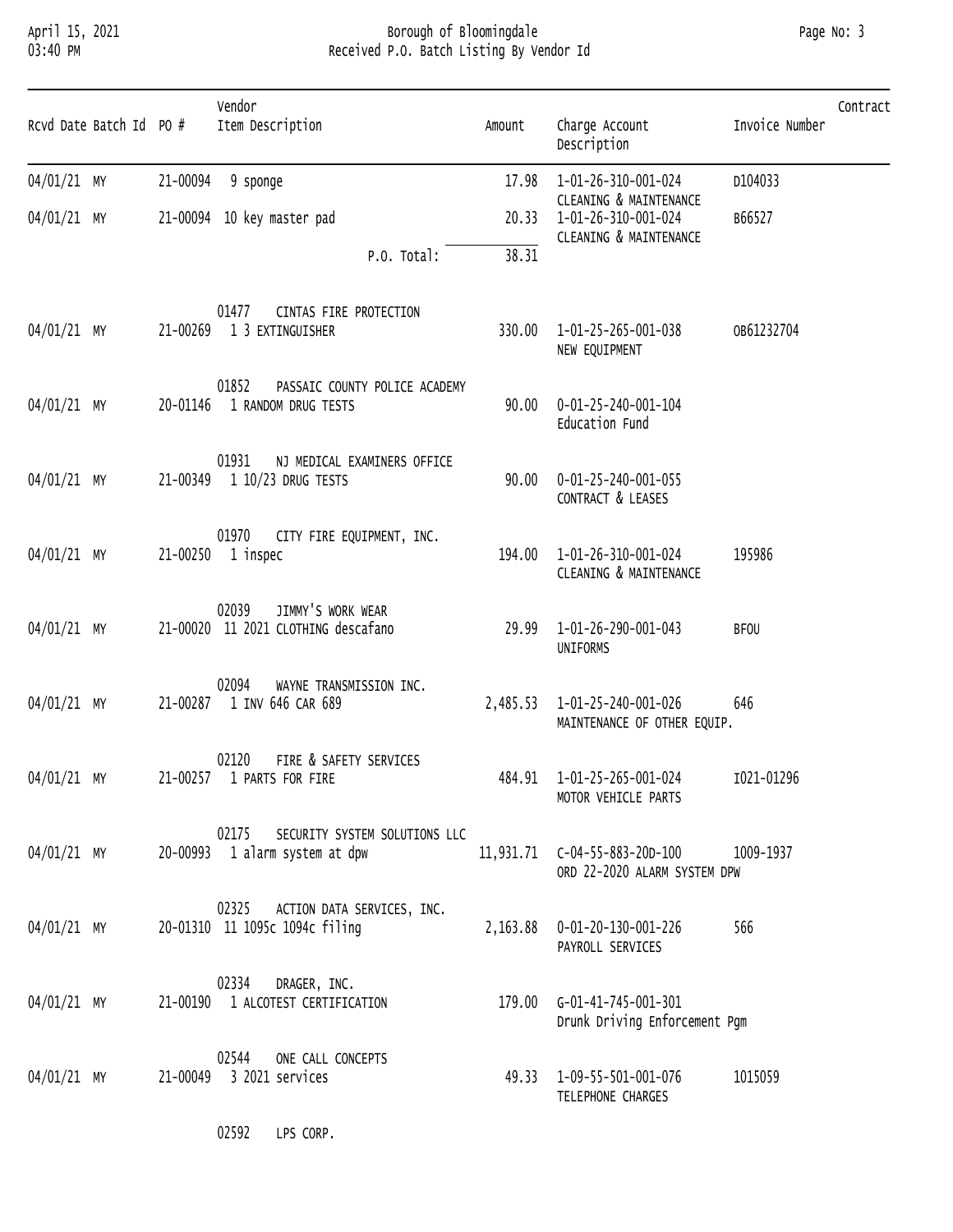# April 15, 2021 Borough of Bloomingdale Page No: 3 03:40 PM Received P.O. Batch Listing By Vendor Id

| Rcvd Date Batch Id PO # |  | Vendor<br>Item Description                                                        | Amount   | Charge Account<br>Description                                           | Contract<br>Invoice Number |
|-------------------------|--|-----------------------------------------------------------------------------------|----------|-------------------------------------------------------------------------|----------------------------|
| 04/01/21 MY             |  | 21-00094 9 sponge                                                                 | 17.98    | 1-01-26-310-001-024                                                     | D104033                    |
| 04/01/21 MY             |  | 21-00094 10 key master pad                                                        | 20.33    | CLEANING & MAINTENANCE<br>1-01-26-310-001-024<br>CLEANING & MAINTENANCE | B66527                     |
|                         |  | P.O. Total:                                                                       | 38.31    |                                                                         |                            |
| 04/01/21 MY             |  | 01477<br>CINTAS FIRE PROTECTION<br>21-00269 1 3 EXTINGUISHER                      | 330.00   | 1-01-25-265-001-038<br>NEW EQUIPMENT                                    | OB61232704                 |
| 04/01/21 MY             |  | 01852<br>PASSAIC COUNTY POLICE ACADEMY<br>20-01146 1 RANDOM DRUG TESTS            | 90.00    | 0-01-25-240-001-104<br>Education Fund                                   |                            |
| 04/01/21 MY             |  | 01931<br>NJ MEDICAL EXAMINERS OFFICE<br>21-00349 1 10/23 DRUG TESTS               | 90.00    | 0-01-25-240-001-055<br>CONTRACT & LEASES                                |                            |
| 04/01/21 MY             |  | 01970<br>CITY FIRE EQUIPMENT, INC.<br>21-00250 1 inspec                           | 194.00   | 1-01-26-310-001-024<br>CLEANING & MAINTENANCE                           | 195986                     |
| 04/01/21 MY             |  | JIMMY'S WORK WEAR<br>02039<br>21-00020 11 2021 CLOTHING descafano                 | 29.99    | 1-01-26-290-001-043<br>UNIFORMS                                         | <b>BFOU</b>                |
| 04/01/21 MY             |  | 02094<br>WAYNE TRANSMISSION INC.<br>21-00287 1 INV 646 CAR 689                    | 2,485.53 | 1-01-25-240-001-026<br>MAINTENANCE OF OTHER EQUIP.                      | 646                        |
| 04/01/21 MY             |  | 02120<br>FIRE & SAFETY SERVICES<br>21-00257 1 PARTS FOR FIRE                      |          | 484.91  1-01-25-265-001-024<br>MOTOR VEHICLE PARTS                      | I021-01296                 |
|                         |  | 02175 SECURITY SYSTEM SOLUTIONS LLC<br>04/01/21 MY 20-00993 1 alarm system at dpw |          | ORD 22-2020 ALARM SYSTEM DPW                                            |                            |
|                         |  | 02325 ACTION DATA SERVICES, INC.<br>04/01/21 MY 20-01310 11 1095c 1094c filing    |          | 2,163.88  0-01-20-130-001-226<br>PAYROLL SERVICES                       | 566                        |
|                         |  | 02334 DRAGER, INC.<br>04/01/21 MY 21-00190 1 ALCOTEST CERTIFICATION               |          | 179.00    G-01-41-745-001-301<br>Drunk Driving Enforcement Pgm          |                            |
|                         |  | 02544 ONE CALL CONCEPTS<br>04/01/21 MY 21-00049 3 2021 services                   |          | 49.33 1-09-55-501-001-076<br>TELEPHONE CHARGES                          | 1015059                    |

02592 LPS CORP.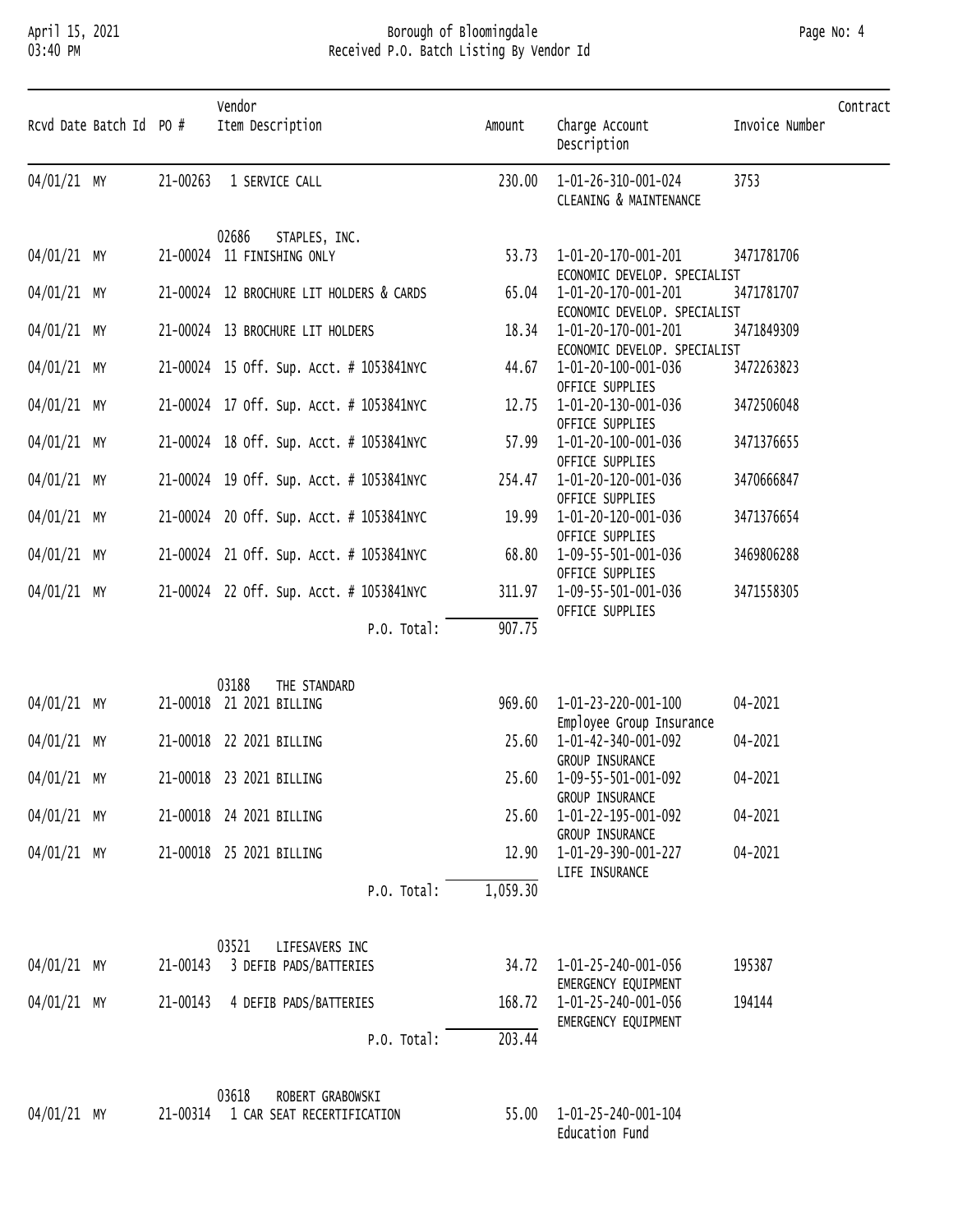### April 15, 2021 Borough of Bloomingdale Page No: 4 03:40 PM Received P.O. Batch Listing By Vendor Id

| Page No: |  | 4 |
|----------|--|---|
|----------|--|---|

| Rcvd Date Batch Id PO # |          | Vendor<br>Item Description                                       | Amount   | Charge Account<br>Description                              | Invoice Number | Contract |
|-------------------------|----------|------------------------------------------------------------------|----------|------------------------------------------------------------|----------------|----------|
| 04/01/21 MY             |          | 21-00263 1 SERVICE CALL                                          | 230.00   | 1-01-26-310-001-024<br>CLEANING & MAINTENANCE              | 3753           |          |
| 04/01/21 MY             | 21-00024 | 02686<br>STAPLES, INC.<br>11 FINISHING ONLY                      |          | 53.73  1-01-20-170-001-201<br>ECONOMIC DEVELOP. SPECIALIST | 3471781706     |          |
| 04/01/21 MY             |          | 21-00024 12 BROCHURE LIT HOLDERS & CARDS                         |          | 65.04  1-01-20-170-001-201<br>ECONOMIC DEVELOP. SPECIALIST | 3471781707     |          |
| 04/01/21 MY             |          | 21-00024 13 BROCHURE LIT HOLDERS                                 |          | 18.34  1-01-20-170-001-201<br>ECONOMIC DEVELOP. SPECIALIST | 3471849309     |          |
| 04/01/21 MY             |          | 21-00024 15 off. sup. Acct. # 1053841NYC                         | 44.67    | 1-01-20-100-001-036<br>OFFICE SUPPLIES                     | 3472263823     |          |
| 04/01/21 MY             |          | 21-00024 17 off. sup. Acct. # 1053841NYC                         | 12.75    | 1-01-20-130-001-036<br>OFFICE SUPPLIES                     | 3472506048     |          |
| 04/01/21 MY             |          | 21-00024 18 off. Sup. Acct. # 1053841NYC                         |          | 57.99  1-01-20-100-001-036<br>OFFICE SUPPLIES              | 3471376655     |          |
| 04/01/21 MY             |          | 21-00024 19 off. Sup. Acct. # 1053841NYC                         | 254.47   | 1-01-20-120-001-036<br>OFFICE SUPPLIES                     | 3470666847     |          |
| 04/01/21 MY             |          | 21-00024 20 off. Sup. Acct. # 1053841NYC                         | 19.99    | 1-01-20-120-001-036<br>OFFICE SUPPLIES                     | 3471376654     |          |
| 04/01/21 MY             |          | 21-00024 21 off. sup. Acct. # 1053841NYC                         | 68.80    | 1-09-55-501-001-036<br>OFFICE SUPPLIES                     | 3469806288     |          |
| 04/01/21 MY             |          | 21-00024 22 Off. Sup. Acct. # 1053841NYC                         | 311.97   | 1-09-55-501-001-036<br>OFFICE SUPPLIES                     | 3471558305     |          |
|                         |          | P.O. Total:                                                      | 907.75   |                                                            |                |          |
|                         |          | 03188<br>THE STANDARD                                            |          |                                                            |                |          |
| 04/01/21 MY             |          | 21-00018 21 2021 BILLING                                         |          | 969.60 1-01-23-220-001-100<br>Employee Group Insurance     | 04-2021        |          |
| 04/01/21 MY             |          | 21-00018 22 2021 BILLING                                         |          | 25.60  1-01-42-340-001-092<br>GROUP INSURANCE              | 04-2021        |          |
| 04/01/21 MY             |          | 21-00018 23 2021 BILLING                                         |          | 25.60 1-09-55-501-001-092<br>GROUP INSURANCE               | 04-2021        |          |
| 04/01/21 MY             |          | 21-00018 24 2021 BILLING                                         |          | 25.60 1-01-22-195-001-092<br>GROUP INSURANCE               | 04-2021        |          |
| 04/01/21 MY             |          | 21-00018 25 2021 BILLING                                         |          | 12.90  1-01-29-390-001-227<br>LIFE INSURANCE               | 04-2021        |          |
|                         |          | P.O. Total:                                                      | 1,059.30 |                                                            |                |          |
|                         |          | 03521<br>LIFESAVERS INC                                          |          |                                                            |                |          |
| 04/01/21 MY             |          | 21-00143 3 DEFIB PADS/BATTERIES                                  |          | 34.72  1-01-25-240-001-056<br>EMERGENCY EQUIPMENT          | 195387         |          |
| 04/01/21 MY             |          | 21-00143 4 DEFIB PADS/BATTERIES                                  |          | 168.72  1-01-25-240-001-056<br>EMERGENCY EQUIPMENT         | 194144         |          |
|                         |          | P.O. Total:                                                      | 203.44   |                                                            |                |          |
| 04/01/21 MY             |          | 03618<br>ROBERT GRABOWSKI<br>21-00314 1 CAR SEAT RECERTIFICATION |          | 55.00  1-01-25-240-001-104<br>Education Fund               |                |          |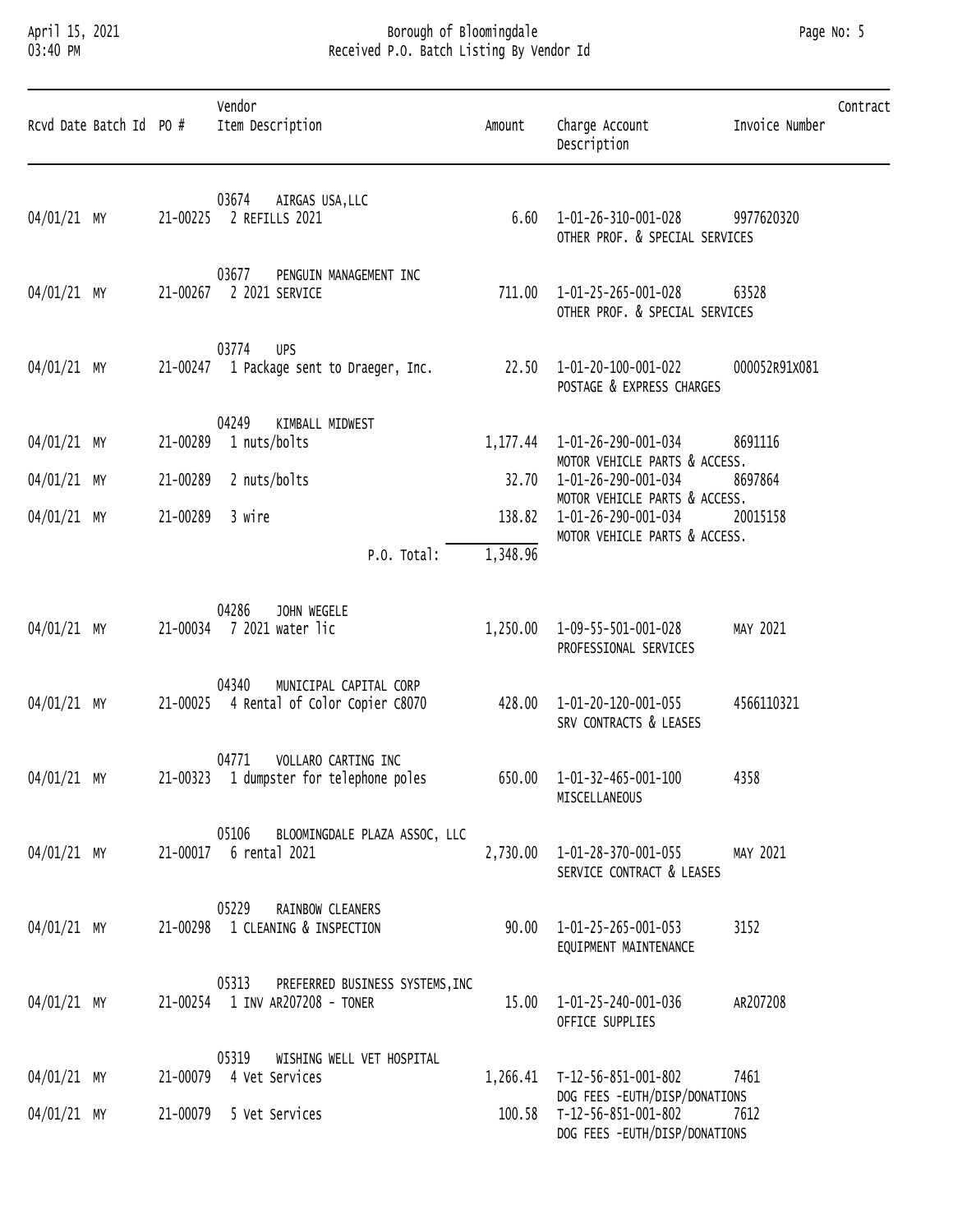### April 15, 2021 Borough of Bloomingdale Page No: 5 03:40 PM Received P.O. Batch Listing By Vendor Id

| Rcvd Date Batch Id PO # |          | Vendor<br>Item Description                                                  | Amount   | Charge Account<br>Description                                                         | Invoice Number | Contract |
|-------------------------|----------|-----------------------------------------------------------------------------|----------|---------------------------------------------------------------------------------------|----------------|----------|
| 04/01/21 MY             |          | 03674<br>AIRGAS USA, LLC<br>21-00225 2 REFILLS 2021                         |          | $6.60$ $1-01-26-310-001-028$<br>OTHER PROF. & SPECIAL SERVICES                        | 9977620320     |          |
| 04/01/21 MY             | 21-00267 | 03677<br>PENGUIN MANAGEMENT INC<br>2 2021 SERVICE                           |          | 711.00  1-01-25-265-001-028<br>OTHER PROF. & SPECIAL SERVICES                         | 63528          |          |
| 04/01/21 MY             |          | 03774 UPS<br>21-00247 1 Package sent to Draeger, Inc.                       |          | 22.50 1-01-20-100-001-022<br>POSTAGE & EXPRESS CHARGES                                | 000052R91X081  |          |
| 04/01/21 MY             |          | 04249<br>KIMBALL MIDWEST<br>21-00289 1 nuts/bolts                           |          | 1,177.44 1-01-26-290-001-034                                                          | 8691116        |          |
| 04/01/21 MY             |          | 21-00289 2 nuts/bolts                                                       |          | MOTOR VEHICLE PARTS & ACCESS.<br>32.70  1-01-26-290-001-034                           | 8697864        |          |
| 04/01/21 MY             |          | 21-00289 3 wire                                                             | 138.82   | MOTOR VEHICLE PARTS & ACCESS.<br>1-01-26-290-001-034<br>MOTOR VEHICLE PARTS & ACCESS. | 20015158       |          |
|                         |          | P.O. Total:                                                                 | 1,348.96 |                                                                                       |                |          |
| 04/01/21 MY             |          | 04286<br>JOHN WEGELE<br>21-00034 7 2021 water lic                           | 1,250.00 | 1-09-55-501-001-028<br>PROFESSIONAL SERVICES                                          | MAY 2021       |          |
| 04/01/21 MY             |          | 04340<br>MUNICIPAL CAPITAL CORP<br>21-00025 4 Rental of Color Copier C8070  |          | 428.00  1-01-20-120-001-055<br>SRV CONTRACTS & LEASES                                 | 4566110321     |          |
| 04/01/21 MY             |          | 04771<br>VOLLARO CARTING INC<br>21-00323 1 dumpster for telephone poles     |          | 650.00  1-01-32-465-001-100<br>MISCELLANEOUS                                          | 4358           |          |
| 04/01/21 MY             |          | 05106<br>BLOOMINGDALE PLAZA ASSOC, LLC<br>21-00017 6 rental 2021            | 2,730.00 | 1-01-28-370-001-055<br>SERVICE CONTRACT & LEASES                                      | MAY 2021       |          |
| 04/01/21 MY             |          | 05229<br>RAINBOW CLEANERS<br>21-00298 1 CLEANING & INSPECTION               |          | $90.00$ $1-01-25-265-001-053$<br>EQUIPMENT MAINTENANCE                                | 3152           |          |
| 04/01/21 MY             |          | 05313<br>PREFERRED BUSINESS SYSTEMS, INC<br>21-00254 1 INV AR207208 - TONER | 15.00    | 1-01-25-240-001-036<br>OFFICE SUPPLIES                                                | AR207208       |          |
| 04/01/21 MY             |          | 05319<br>WISHING WELL VET HOSPITAL<br>21-00079 4 Vet Services               |          | 1,266.41 T-12-56-851-001-802<br>DOG FEES -EUTH/DISP/DONATIONS                         | 7461           |          |
| 04/01/21 MY             |          | 21-00079 5 Vet Services                                                     |          | 100.58 T-12-56-851-001-802<br>DOG FEES -EUTH/DISP/DONATIONS                           | 7612           |          |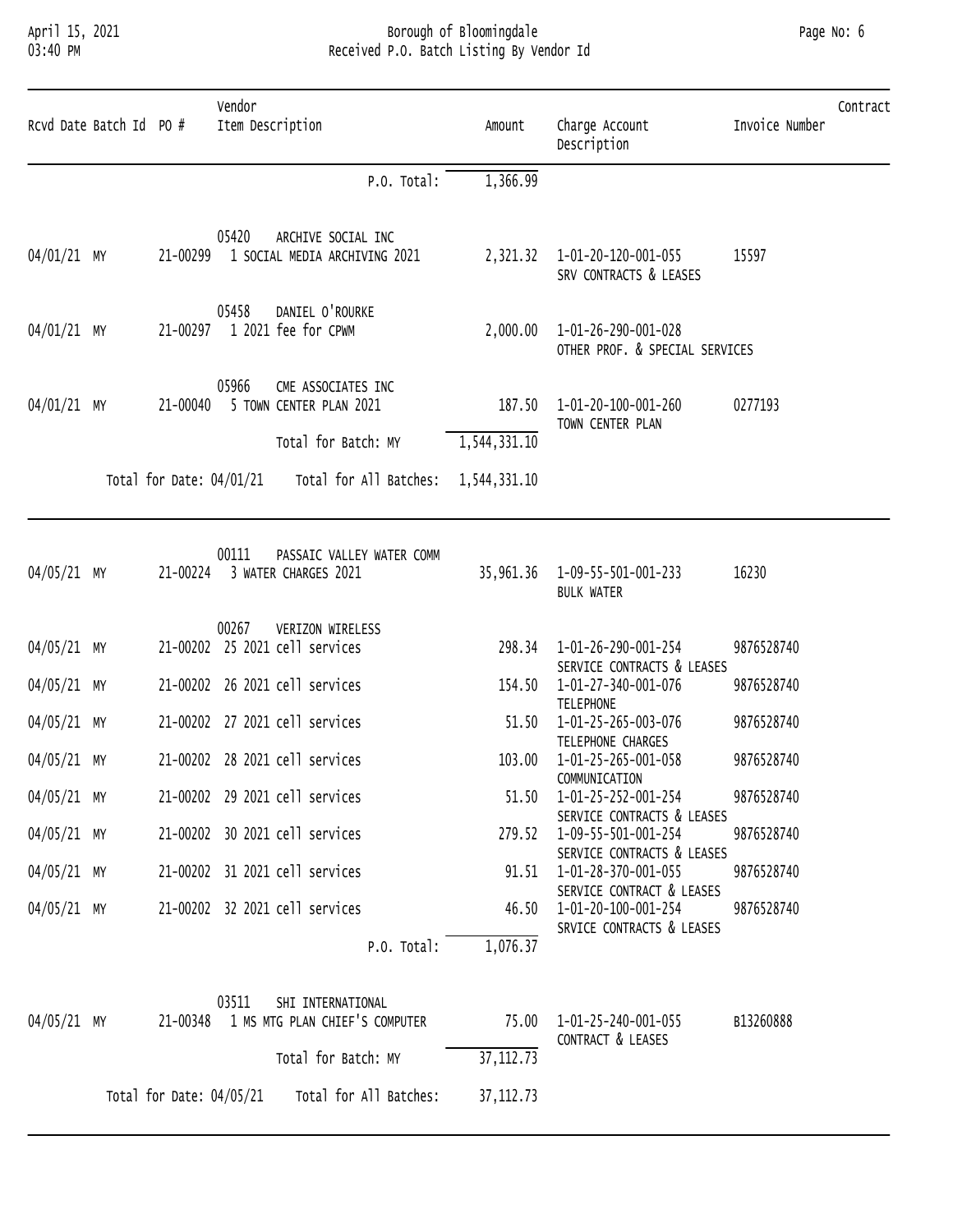# April 15, 2021 Borough of Bloomingdale Page No: 6 03:40 PM Received P.O. Batch Listing By Vendor Id

| Page No: 6 |  |  |
|------------|--|--|
|------------|--|--|

| 1,366.99<br>P.O. Total:<br>05420<br>ARCHIVE SOCIAL INC<br>21-00299<br>1 SOCIAL MEDIA ARCHIVING 2021<br>2,321.32 1-01-20-120-001-055<br>15597<br>SRV CONTRACTS & LEASES<br>05458<br>DANIEL O'ROURKE<br>1 2021 fee for CPWM<br>21-00297<br>2,000.00 1-01-26-290-001-028<br>OTHER PROF. & SPECIAL SERVICES<br>05966<br>CME ASSOCIATES INC<br>5 TOWN CENTER PLAN 2021<br>1-01-20-100-001-260<br>0277193<br>21-00040<br>187.50<br>TOWN CENTER PLAN<br>Total for Batch: MY<br>1,544,331.10<br>Total for Date: 04/01/21<br>Total for All Batches:<br>1,544,331.10<br>00111<br>PASSAIC VALLEY WATER COMM<br>21-00224<br>35, 961.36 1-09-55-501-001-233<br>16230<br>3 WATER CHARGES 2021<br><b>BULK WATER</b><br>00267<br>VERIZON WIRELESS<br>21-00202 25 2021 cell services<br>1-01-26-290-001-254<br>298.34<br>9876528740<br>SERVICE CONTRACTS & LEASES<br>21-00202 26 2021 cell services<br>154.50<br>1-01-27-340-001-076<br>9876528740<br><b>TELEPHONE</b><br>21-00202 27 2021 cell services<br>1-01-25-265-003-076<br>9876528740<br>51.50<br>TELEPHONE CHARGES<br>21-00202 28 2021 cell services<br>103.00<br>1-01-25-265-001-058<br>9876528740<br>COMMUNICATION<br>21-00202 29 2021 cell services<br>51.50   1-01-25-252-001-254<br>9876528740<br>SERVICE CONTRACTS & LEASES<br>21-00202 30 2021 cell services<br>279.52  1-09-55-501-001-254<br>9876528740<br>SERVICE CONTRACTS & LEASES<br>21-00202 31 2021 cell services<br>91.51  1-01-28-370-001-055<br>9876528740<br>SERVICE CONTRACT & LEASES<br>21-00202 32 2021 cell services<br>1-01-20-100-001-254<br>9876528740<br>46.50<br>SRVICE CONTRACTS & LEASES<br>1,076.37<br>P.O. Total:<br>03511<br>SHI INTERNATIONAL<br>21-00348 1 MS MTG PLAN CHIEF'S COMPUTER<br>B13260888<br>75.00  1-01-25-240-001-055<br>CONTRACT & LEASES<br>Total for Batch: MY<br>37, 112.73 | Rcvd Date Batch Id PO # |  | Vendor<br>Item Description | Amount | Charge Account<br>Description | Invoice Number | Contract |
|-------------------------------------------------------------------------------------------------------------------------------------------------------------------------------------------------------------------------------------------------------------------------------------------------------------------------------------------------------------------------------------------------------------------------------------------------------------------------------------------------------------------------------------------------------------------------------------------------------------------------------------------------------------------------------------------------------------------------------------------------------------------------------------------------------------------------------------------------------------------------------------------------------------------------------------------------------------------------------------------------------------------------------------------------------------------------------------------------------------------------------------------------------------------------------------------------------------------------------------------------------------------------------------------------------------------------------------------------------------------------------------------------------------------------------------------------------------------------------------------------------------------------------------------------------------------------------------------------------------------------------------------------------------------------------------------------------------------------------------------------------------------------------------------------------------------------|-------------------------|--|----------------------------|--------|-------------------------------|----------------|----------|
| 04/01/21 MY<br>04/01/21 MY<br>04/01/21 MY<br>04/05/21 MY<br>04/05/21 MY<br>04/05/21 MY<br>$04/05/21$ MY                                                                                                                                                                                                                                                                                                                                                                                                                                                                                                                                                                                                                                                                                                                                                                                                                                                                                                                                                                                                                                                                                                                                                                                                                                                                                                                                                                                                                                                                                                                                                                                                                                                                                                                 |                         |  |                            |        |                               |                |          |
| 04/05/21 MY                                                                                                                                                                                                                                                                                                                                                                                                                                                                                                                                                                                                                                                                                                                                                                                                                                                                                                                                                                                                                                                                                                                                                                                                                                                                                                                                                                                                                                                                                                                                                                                                                                                                                                                                                                                                             |                         |  |                            |        |                               |                |          |
|                                                                                                                                                                                                                                                                                                                                                                                                                                                                                                                                                                                                                                                                                                                                                                                                                                                                                                                                                                                                                                                                                                                                                                                                                                                                                                                                                                                                                                                                                                                                                                                                                                                                                                                                                                                                                         |                         |  |                            |        |                               |                |          |
|                                                                                                                                                                                                                                                                                                                                                                                                                                                                                                                                                                                                                                                                                                                                                                                                                                                                                                                                                                                                                                                                                                                                                                                                                                                                                                                                                                                                                                                                                                                                                                                                                                                                                                                                                                                                                         |                         |  |                            |        |                               |                |          |
|                                                                                                                                                                                                                                                                                                                                                                                                                                                                                                                                                                                                                                                                                                                                                                                                                                                                                                                                                                                                                                                                                                                                                                                                                                                                                                                                                                                                                                                                                                                                                                                                                                                                                                                                                                                                                         |                         |  |                            |        |                               |                |          |
|                                                                                                                                                                                                                                                                                                                                                                                                                                                                                                                                                                                                                                                                                                                                                                                                                                                                                                                                                                                                                                                                                                                                                                                                                                                                                                                                                                                                                                                                                                                                                                                                                                                                                                                                                                                                                         |                         |  |                            |        |                               |                |          |
| 04/05/21 MY<br>04/05/21 MY<br>04/05/21 MY<br>04/05/21 MY<br>04/05/21 MY                                                                                                                                                                                                                                                                                                                                                                                                                                                                                                                                                                                                                                                                                                                                                                                                                                                                                                                                                                                                                                                                                                                                                                                                                                                                                                                                                                                                                                                                                                                                                                                                                                                                                                                                                 |                         |  |                            |        |                               |                |          |
|                                                                                                                                                                                                                                                                                                                                                                                                                                                                                                                                                                                                                                                                                                                                                                                                                                                                                                                                                                                                                                                                                                                                                                                                                                                                                                                                                                                                                                                                                                                                                                                                                                                                                                                                                                                                                         |                         |  |                            |        |                               |                |          |
|                                                                                                                                                                                                                                                                                                                                                                                                                                                                                                                                                                                                                                                                                                                                                                                                                                                                                                                                                                                                                                                                                                                                                                                                                                                                                                                                                                                                                                                                                                                                                                                                                                                                                                                                                                                                                         |                         |  |                            |        |                               |                |          |
|                                                                                                                                                                                                                                                                                                                                                                                                                                                                                                                                                                                                                                                                                                                                                                                                                                                                                                                                                                                                                                                                                                                                                                                                                                                                                                                                                                                                                                                                                                                                                                                                                                                                                                                                                                                                                         |                         |  |                            |        |                               |                |          |
|                                                                                                                                                                                                                                                                                                                                                                                                                                                                                                                                                                                                                                                                                                                                                                                                                                                                                                                                                                                                                                                                                                                                                                                                                                                                                                                                                                                                                                                                                                                                                                                                                                                                                                                                                                                                                         |                         |  |                            |        |                               |                |          |
|                                                                                                                                                                                                                                                                                                                                                                                                                                                                                                                                                                                                                                                                                                                                                                                                                                                                                                                                                                                                                                                                                                                                                                                                                                                                                                                                                                                                                                                                                                                                                                                                                                                                                                                                                                                                                         |                         |  |                            |        |                               |                |          |
|                                                                                                                                                                                                                                                                                                                                                                                                                                                                                                                                                                                                                                                                                                                                                                                                                                                                                                                                                                                                                                                                                                                                                                                                                                                                                                                                                                                                                                                                                                                                                                                                                                                                                                                                                                                                                         |                         |  |                            |        |                               |                |          |
|                                                                                                                                                                                                                                                                                                                                                                                                                                                                                                                                                                                                                                                                                                                                                                                                                                                                                                                                                                                                                                                                                                                                                                                                                                                                                                                                                                                                                                                                                                                                                                                                                                                                                                                                                                                                                         |                         |  |                            |        |                               |                |          |
|                                                                                                                                                                                                                                                                                                                                                                                                                                                                                                                                                                                                                                                                                                                                                                                                                                                                                                                                                                                                                                                                                                                                                                                                                                                                                                                                                                                                                                                                                                                                                                                                                                                                                                                                                                                                                         |                         |  |                            |        |                               |                |          |
|                                                                                                                                                                                                                                                                                                                                                                                                                                                                                                                                                                                                                                                                                                                                                                                                                                                                                                                                                                                                                                                                                                                                                                                                                                                                                                                                                                                                                                                                                                                                                                                                                                                                                                                                                                                                                         |                         |  |                            |        |                               |                |          |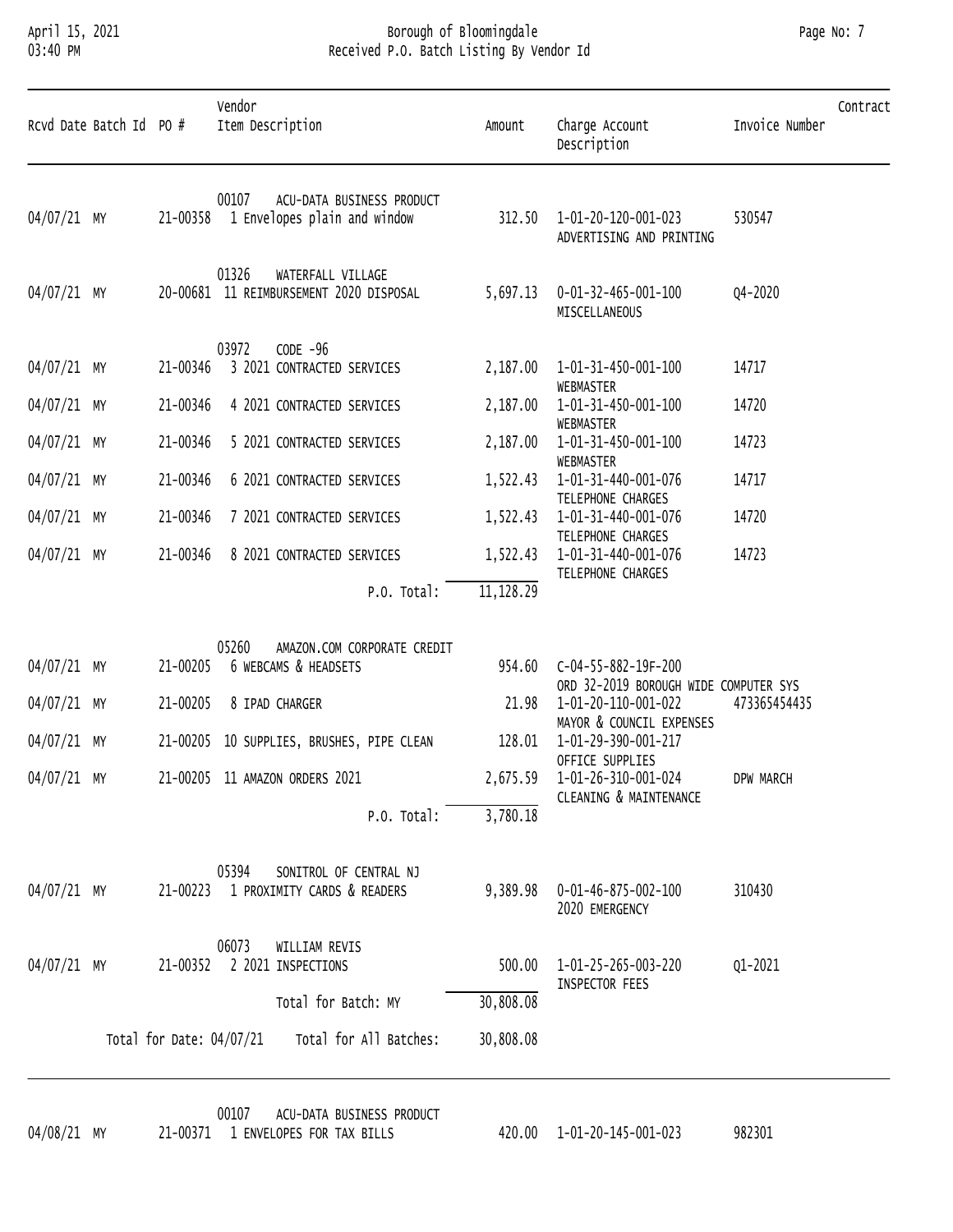# April 15, 2021 Borough of Bloomingdale Page No: 7 03:40 PM Received P.O. Batch Listing By Vendor Id

| Page No: 7 |          |
|------------|----------|
|            | Contract |

| Rcvd Date Batch Id PO # |                          | Vendor<br>Item Description                                            | Amount     | Charge Account<br>Description                   | Invoice Number | Contract |
|-------------------------|--------------------------|-----------------------------------------------------------------------|------------|-------------------------------------------------|----------------|----------|
| 04/07/21 MY             | 21-00358                 | 00107<br>ACU-DATA BUSINESS PRODUCT<br>1 Envelopes plain and window    | 312.50     | 1-01-20-120-001-023<br>ADVERTISING AND PRINTING | 530547         |          |
| 04/07/21 MY             |                          | 01326<br>WATERFALL VILLAGE<br>20-00681 11 REIMBURSEMENT 2020 DISPOSAL | 5,697.13   | 0-01-32-465-001-100<br>MISCELLANEOUS            | Q4-2020        |          |
|                         |                          | 03972<br>$CODE -96$                                                   |            |                                                 |                |          |
| 04/07/21 MY             | 21-00346                 | 3 2021 CONTRACTED SERVICES                                            | 2,187.00   | 1-01-31-450-001-100<br>WEBMASTER                | 14717          |          |
| 04/07/21 MY             | 21-00346                 | 4 2021 CONTRACTED SERVICES                                            | 2,187.00   | 1-01-31-450-001-100<br>WEBMASTER                | 14720          |          |
| 04/07/21 MY             | 21-00346                 | 5 2021 CONTRACTED SERVICES                                            | 2,187.00   | 1-01-31-450-001-100<br>WEBMASTER                | 14723          |          |
| 04/07/21 MY             | 21-00346                 | 6 2021 CONTRACTED SERVICES                                            | 1,522.43   | 1-01-31-440-001-076                             | 14717          |          |
| 04/07/21 MY             | 21-00346                 | 7 2021 CONTRACTED SERVICES                                            | 1,522.43   | TELEPHONE CHARGES<br>1-01-31-440-001-076        | 14720          |          |
| 04/07/21 MY             | 21-00346                 | 8 2021 CONTRACTED SERVICES                                            | 1,522.43   | TELEPHONE CHARGES<br>1-01-31-440-001-076        | 14723          |          |
|                         |                          | P.O. Total:                                                           | 11, 128.29 | TELEPHONE CHARGES                               |                |          |
|                         |                          |                                                                       |            |                                                 |                |          |
| 04/07/21 MY             | 21-00205                 | 05260<br>AMAZON.COM CORPORATE CREDIT<br>6 WEBCAMS & HEADSETS          | 954.60     | C-04-55-882-19F-200                             |                |          |
|                         |                          |                                                                       |            | ORD 32-2019 BOROUGH WIDE COMPUTER SYS           |                |          |
| 04/07/21 MY             | 21-00205                 | 8 IPAD CHARGER                                                        | 21.98      | 1-01-20-110-001-022<br>MAYOR & COUNCIL EXPENSES | 473365454435   |          |
| 04/07/21 MY             | 21-00205                 | 10 SUPPLIES, BRUSHES, PIPE CLEAN                                      | 128.01     | 1-01-29-390-001-217<br>OFFICE SUPPLIES          |                |          |
| 04/07/21 MY             |                          | 21-00205 11 AMAZON ORDERS 2021                                        | 2,675.59   | 1-01-26-310-001-024<br>CLEANING & MAINTENANCE   | DPW MARCH      |          |
|                         |                          | P.O. Total:                                                           | 3,780.18   |                                                 |                |          |
|                         |                          | SONITROL OF CENTRAL NJ<br>05394                                       |            |                                                 |                |          |
| 04/07/21 MY             |                          | 21-00223 1 PROXIMITY CARDS & READERS                                  | 9,389.98   | 0-01-46-875-002-100<br>2020 EMERGENCY           | 310430         |          |
|                         |                          | 06073<br>WILLIAM REVIS                                                |            |                                                 |                |          |
| 04/07/21 MY             | 21-00352                 | 2 2021 INSPECTIONS                                                    | 500.00     | 1-01-25-265-003-220<br>INSPECTOR FEES           | Q1-2021        |          |
|                         |                          | Total for Batch: MY                                                   | 30,808.08  |                                                 |                |          |
|                         | Total for Date: 04/07/21 | Total for All Batches:                                                | 30,808.08  |                                                 |                |          |
|                         |                          |                                                                       |            |                                                 |                |          |

00107 ACU-DATA BUSINESS PRODUCT<br>04/08/21 MY 21-00371 1 ENVELOPES FOR TAX BILLS 420.00 1-01-20-145-001-023 982301 21-00371 1 ENVELOPES FOR TAX BILLS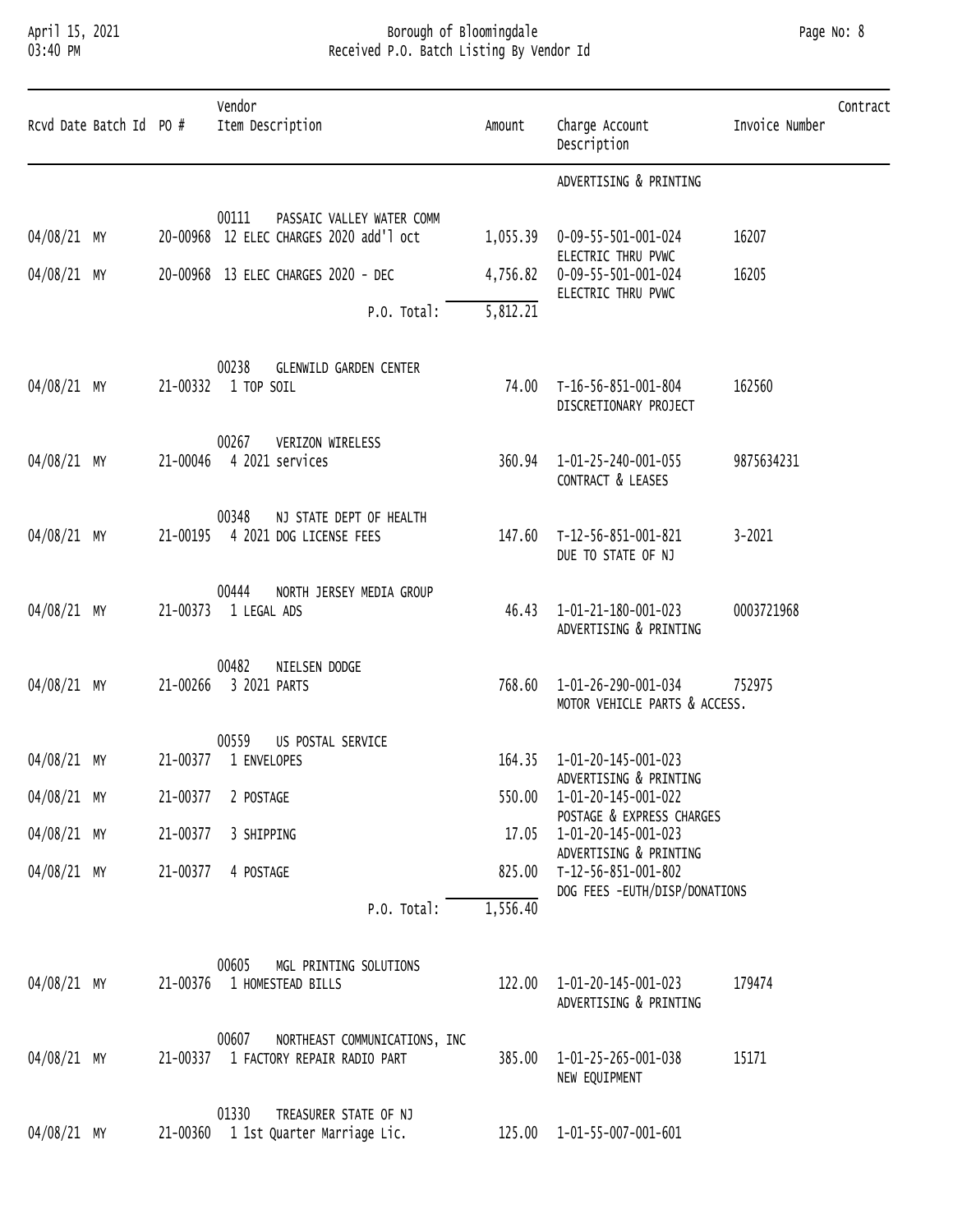### April 15, 2021 Borough of Bloomingdale Page No: 8 03:40 PM Received P.O. Batch Listing By Vendor Id

| Rcvd Date Batch Id PO # |          | Vendor<br>Item Description                                                    | Amount   | Charge Account<br>Description                        | Contract<br>Invoice Number |
|-------------------------|----------|-------------------------------------------------------------------------------|----------|------------------------------------------------------|----------------------------|
|                         |          |                                                                               |          | ADVERTISING & PRINTING                               |                            |
| 04/08/21 MY             |          | 00111<br>PASSAIC VALLEY WATER COMM<br>20-00968 12 ELEC CHARGES 2020 add'l oct | 1,055.39 | 0-09-55-501-001-024<br>ELECTRIC THRU PVWC            | 16207                      |
| 04/08/21 MY             |          | 20-00968 13 ELEC CHARGES 2020 - DEC                                           | 4,756.82 | 0-09-55-501-001-024<br>ELECTRIC THRU PVWC            | 16205                      |
|                         |          | P.O. Total:                                                                   | 5,812.21 |                                                      |                            |
| 04/08/21 MY             | 21-00332 | 00238<br><b>GLENWILD GARDEN CENTER</b><br>1 TOP SOIL                          | 74.00    | T-16-56-851-001-804<br>DISCRETIONARY PROJECT         | 162560                     |
| 04/08/21 MY             | 21-00046 | 00267<br>VERIZON WIRELESS<br>4 2021 services                                  | 360.94   | 1-01-25-240-001-055<br>CONTRACT & LEASES             | 9875634231                 |
| 04/08/21 MY             | 21-00195 | 00348<br>NJ STATE DEPT OF HEALTH<br>4 2021 DOG LICENSE FEES                   | 147.60   | T-12-56-851-001-821<br>DUE TO STATE OF NJ            | $3 - 2021$                 |
| 04/08/21 MY             | 21-00373 | 00444<br>NORTH JERSEY MEDIA GROUP<br>1 LEGAL ADS                              | 46.43    | 1-01-21-180-001-023<br>ADVERTISING & PRINTING        | 0003721968                 |
| 04/08/21 MY             | 21-00266 | 00482<br>NIELSEN DODGE<br>3 2021 PARTS                                        | 768.60   | 1-01-26-290-001-034<br>MOTOR VEHICLE PARTS & ACCESS. | 752975                     |
| 04/08/21 MY             |          | 00559<br>US POSTAL SERVICE<br>21-00377 1 ENVELOPES                            |          | 164.35  1-01-20-145-001-023                          |                            |
| 04/08/21 MY             | 21-00377 | 2 POSTAGE                                                                     | 550.00   | ADVERTISING & PRINTING<br>1-01-20-145-001-022        |                            |
| 04/08/21 MY             | 21-00377 | 3 SHIPPING                                                                    | 17.05    | POSTAGE & EXPRESS CHARGES<br>1-01-20-145-001-023     |                            |
| 04/08/21 MY             | 21-00377 | 4 POSTAGE                                                                     | 825.00   | ADVERTISING & PRINTING<br>T-12-56-851-001-802        |                            |
|                         |          | P.O. Total:                                                                   | 1,556.40 | DOG FEES -EUTH/DISP/DONATIONS                        |                            |
|                         |          |                                                                               |          |                                                      |                            |
| 04/08/21 MY             |          | 00605<br>MGL PRINTING SOLUTIONS<br>21-00376 1 HOMESTEAD BILLS                 | 122.00   | 1-01-20-145-001-023<br>ADVERTISING & PRINTING        | 179474                     |
| 04/08/21 MY             | 21-00337 | 00607<br>NORTHEAST COMMUNICATIONS, INC<br>1 FACTORY REPAIR RADIO PART         | 385.00   | 1-01-25-265-001-038<br>NEW EQUIPMENT                 | 15171                      |
| 04/08/21 MY             | 21-00360 | 01330<br>TREASURER STATE OF NJ<br>1 1st Quarter Marriage Lic.                 | 125.00   | 1-01-55-007-001-601                                  |                            |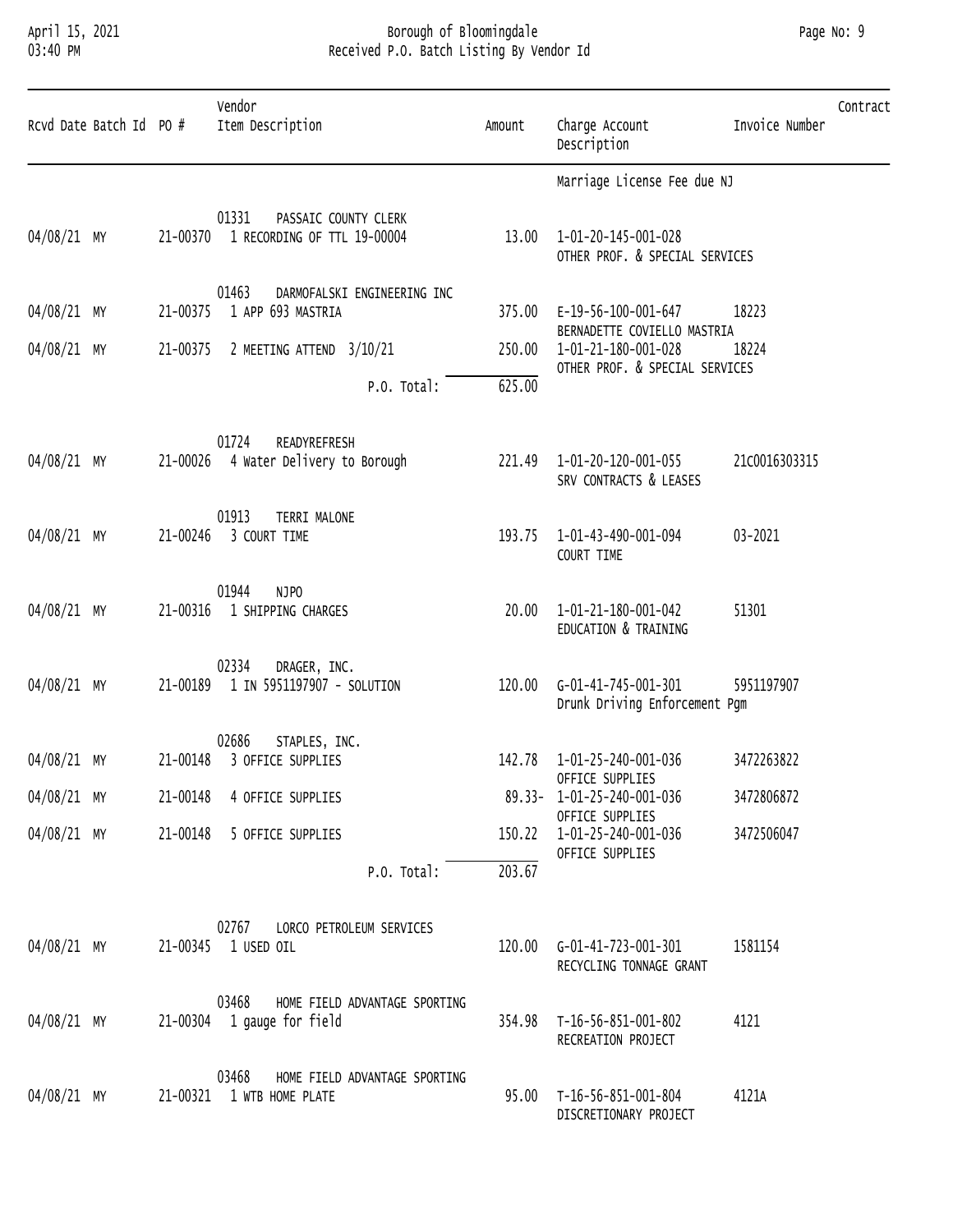#### April 15, 2021 Borough of Bloomingdale Page No: 9 03:40 PM Received P.O. Batch Listing By Vendor Id

| Page No: | 9 |
|----------|---|
|          |   |

| Rcvd Date Batch Id PO # |          | Vendor<br>Item Description                                           | Amount | Charge Account<br>Description                                | Invoice Number | Contract |
|-------------------------|----------|----------------------------------------------------------------------|--------|--------------------------------------------------------------|----------------|----------|
|                         |          |                                                                      |        | Marriage License Fee due NJ                                  |                |          |
| 04/08/21 MY             | 21-00370 | 01331<br>PASSAIC COUNTY CLERK<br>1 RECORDING OF TTL 19-00004         |        | 13.00  1-01-20-145-001-028<br>OTHER PROF. & SPECIAL SERVICES |                |          |
| 04/08/21 MY             | 21-00375 | 01463<br>DARMOFALSKI ENGINEERING INC<br>1 APP 693 MASTRIA            |        | 375.00 E-19-56-100-001-647                                   | 18223          |          |
| 04/08/21 MY             | 21-00375 | 2 MEETING ATTEND 3/10/21                                             | 250.00 | BERNADETTE COVIELLO MASTRIA<br>1-01-21-180-001-028           | 18224          |          |
|                         |          | P.O. Total:                                                          | 625.00 | OTHER PROF. & SPECIAL SERVICES                               |                |          |
| 04/08/21 MY             |          | 01724<br>READYREFRESH<br>21-00026 4 Water Delivery to Borough        |        | 221.49 1-01-20-120-001-055<br>SRV CONTRACTS & LEASES         | 21c0016303315  |          |
| 04/08/21 MY             | 21-00246 | 01913<br>TERRI MALONE<br>3 COURT TIME                                |        | 193.75  1-01-43-490-001-094<br>COURT TIME                    | 03-2021        |          |
| 04/08/21 MY             | 21-00316 | 01944<br>NJPO<br>1 SHIPPING CHARGES                                  | 20.00  | 1-01-21-180-001-042<br>EDUCATION & TRAINING                  | 51301          |          |
| 04/08/21 MY             | 21-00189 | 02334<br>DRAGER, INC.<br>1 IN 5951197907 - SOLUTION                  | 120.00 | G-01-41-745-001-301<br>Drunk Driving Enforcement Pgm         | 5951197907     |          |
| 04/08/21 MY             | 21-00148 | 02686<br>STAPLES, INC.<br>3 OFFICE SUPPLIES                          |        | 142.78  1-01-25-240-001-036<br>OFFICE SUPPLIES               | 3472263822     |          |
| 04/08/21 MY             |          | 21-00148 4 OFFICE SUPPLIES                                           |        | 89.33- 1-01-25-240-001-036<br>OFFICE SUPPLIES                | 3472806872     |          |
| 04/08/21 MY             |          | 21-00148 5 OFFICE SUPPLIES                                           |        | 150.22  1-01-25-240-001-036<br>OFFICE SUPPLIES               | 3472506047     |          |
|                         |          | P.O. Total:                                                          | 203.67 |                                                              |                |          |
| 04/08/21 MY             |          | 02767<br>LORCO PETROLEUM SERVICES<br>21-00345 1 USED OIL             |        | 120.00 G-01-41-723-001-301<br>RECYCLING TONNAGE GRANT        | 1581154        |          |
| 04/08/21 MY             |          | 03468<br>HOME FIELD ADVANTAGE SPORTING<br>21-00304 1 gauge for field |        | 354.98 T-16-56-851-001-802<br>RECREATION PROJECT             | 4121           |          |
| 04/08/21 MY             |          | 03468<br>HOME FIELD ADVANTAGE SPORTING<br>21-00321 1 WTB HOME PLATE  |        | 95.00 T-16-56-851-001-804<br>DISCRETIONARY PROJECT           | 4121A          |          |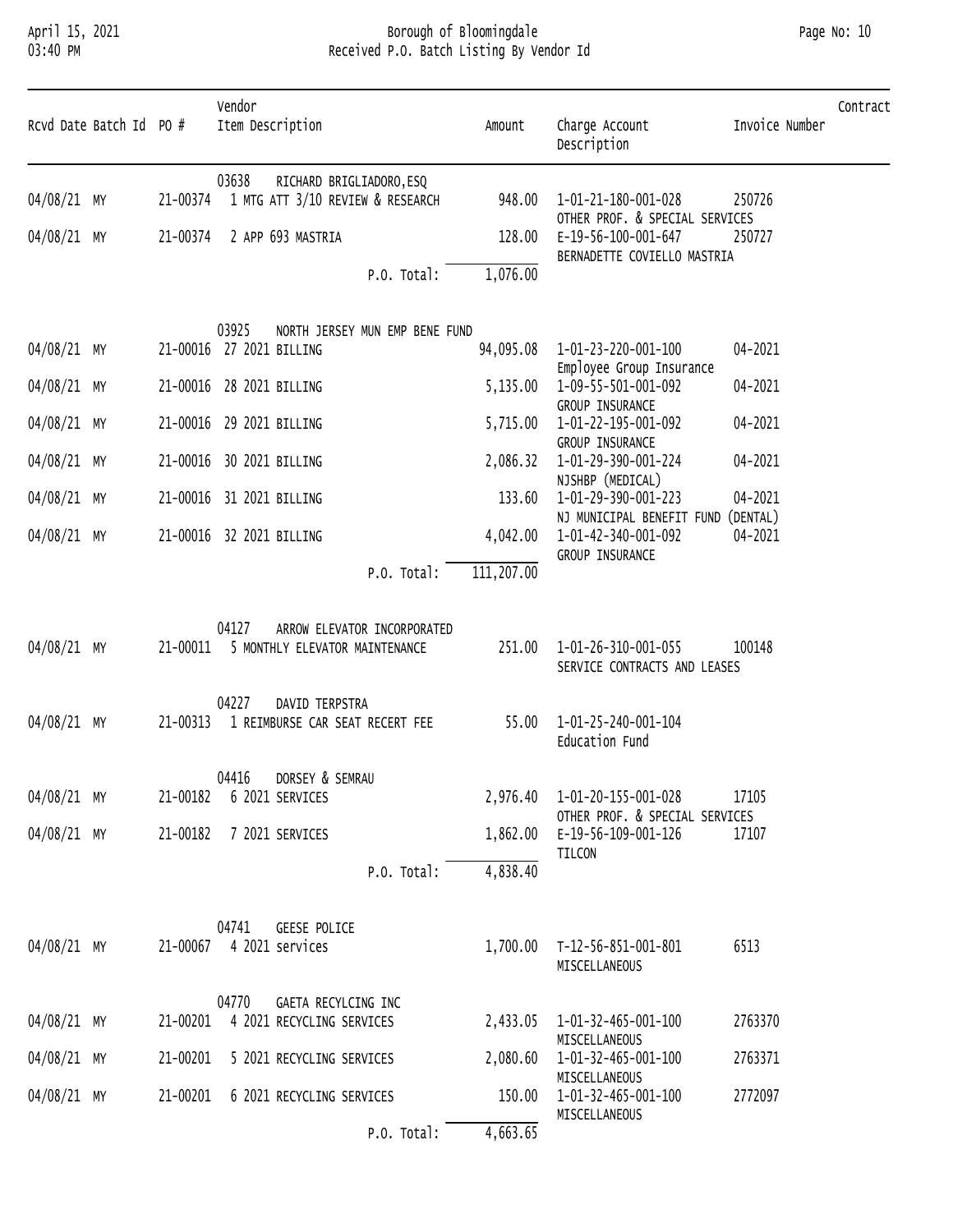# April 15, 2021 Borough of Bloomingdale Page No: 10 03:40 PM Received P.O. Batch Listing By Vendor Id

| Rcvd Date Batch Id PO # |          | Vendor<br>Item Description                                                      | Amount     | Charge Account<br>Description                                                 | Invoice Number | Contract |
|-------------------------|----------|---------------------------------------------------------------------------------|------------|-------------------------------------------------------------------------------|----------------|----------|
| 04/08/21 MY             | 21-00374 | 03638<br>RICHARD BRIGLIADORO, ESQ<br>1 MTG ATT 3/10 REVIEW & RESEARCH           | 948.00     | 1-01-21-180-001-028                                                           | 250726         |          |
| 04/08/21 MY             | 21-00374 | 2 APP 693 MASTRIA                                                               | 128.00     | OTHER PROF. & SPECIAL SERVICES<br>E-19-56-100-001-647                         | 250727         |          |
|                         |          | P.O. Total:                                                                     | 1,076.00   | BERNADETTE COVIELLO MASTRIA                                                   |                |          |
| 04/08/21 MY             |          | 03925<br>NORTH JERSEY MUN EMP BENE FUND<br>21-00016 27 2021 BILLING             | 94,095.08  | 1-01-23-220-001-100                                                           | 04-2021        |          |
| 04/08/21 MY             |          | 21-00016 28 2021 BILLING                                                        | 5,135.00   | Employee Group Insurance<br>1-09-55-501-001-092                               | 04-2021        |          |
| 04/08/21 MY             |          | 21-00016 29 2021 BILLING                                                        | 5,715.00   | GROUP INSURANCE<br>1-01-22-195-001-092                                        | 04-2021        |          |
| 04/08/21 MY             |          | 21-00016 30 2021 BILLING                                                        | 2,086.32   | GROUP INSURANCE<br>1-01-29-390-001-224                                        | 04-2021        |          |
| 04/08/21 MY             |          | 21-00016 31 2021 BILLING                                                        | 133.60     | NJSHBP (MEDICAL)<br>1-01-29-390-001-223<br>NJ MUNICIPAL BENEFIT FUND (DENTAL) | 04-2021        |          |
| 04/08/21 MY             |          | 21-00016 32 2021 BILLING                                                        | 4,042.00   | 1-01-42-340-001-092<br>GROUP INSURANCE                                        | 04-2021        |          |
|                         |          | P.O. Total:                                                                     | 111,207.00 |                                                                               |                |          |
| 04/08/21 MY             |          | 04127<br>ARROW ELEVATOR INCORPORATED<br>21-00011 5 MONTHLY ELEVATOR MAINTENANCE | 251.00     | 1-01-26-310-001-055<br>SERVICE CONTRACTS AND LEASES                           | 100148         |          |
| 04/08/21 MY             | 21-00313 | 04227<br>DAVID TERPSTRA<br>1 REIMBURSE CAR SEAT RECERT FEE                      | 55.00      | 1-01-25-240-001-104<br>Education Fund                                         |                |          |
| 04/08/21 MY             | 21-00182 | 04416 DORSEY & SEMRAU<br>6 2021 SERVICES                                        | 2,976.40   | 1-01-20-155-001-028                                                           | 17105          |          |
| 04/08/21 MY             | 21-00182 | 7 2021 SERVICES                                                                 | 1,862.00   | OTHER PROF. & SPECIAL SERVICES<br>E-19-56-109-001-126                         | 17107          |          |
|                         |          | P.O. Total:                                                                     | 4,838.40   | TILCON                                                                        |                |          |
| 04/08/21 MY             |          | 04741<br><b>GEESE POLICE</b><br>21-00067 4 2021 services                        | 1,700.00   | T-12-56-851-001-801<br>MISCELLANEOUS                                          | 6513           |          |
| 04/08/21 MY             | 21-00201 | 04770<br>GAETA RECYLCING INC<br>4 2021 RECYCLING SERVICES                       | 2,433.05   | 1-01-32-465-001-100                                                           | 2763370        |          |
| 04/08/21 MY             | 21-00201 | 5 2021 RECYCLING SERVICES                                                       | 2,080.60   | MISCELLANEOUS<br>1-01-32-465-001-100                                          | 2763371        |          |
| 04/08/21 MY             | 21-00201 | 6 2021 RECYCLING SERVICES                                                       | 150.00     | MISCELLANEOUS<br>1-01-32-465-001-100                                          | 2772097        |          |
|                         |          | P.O. Total:                                                                     | 4,663.65   | MISCELLANEOUS                                                                 |                |          |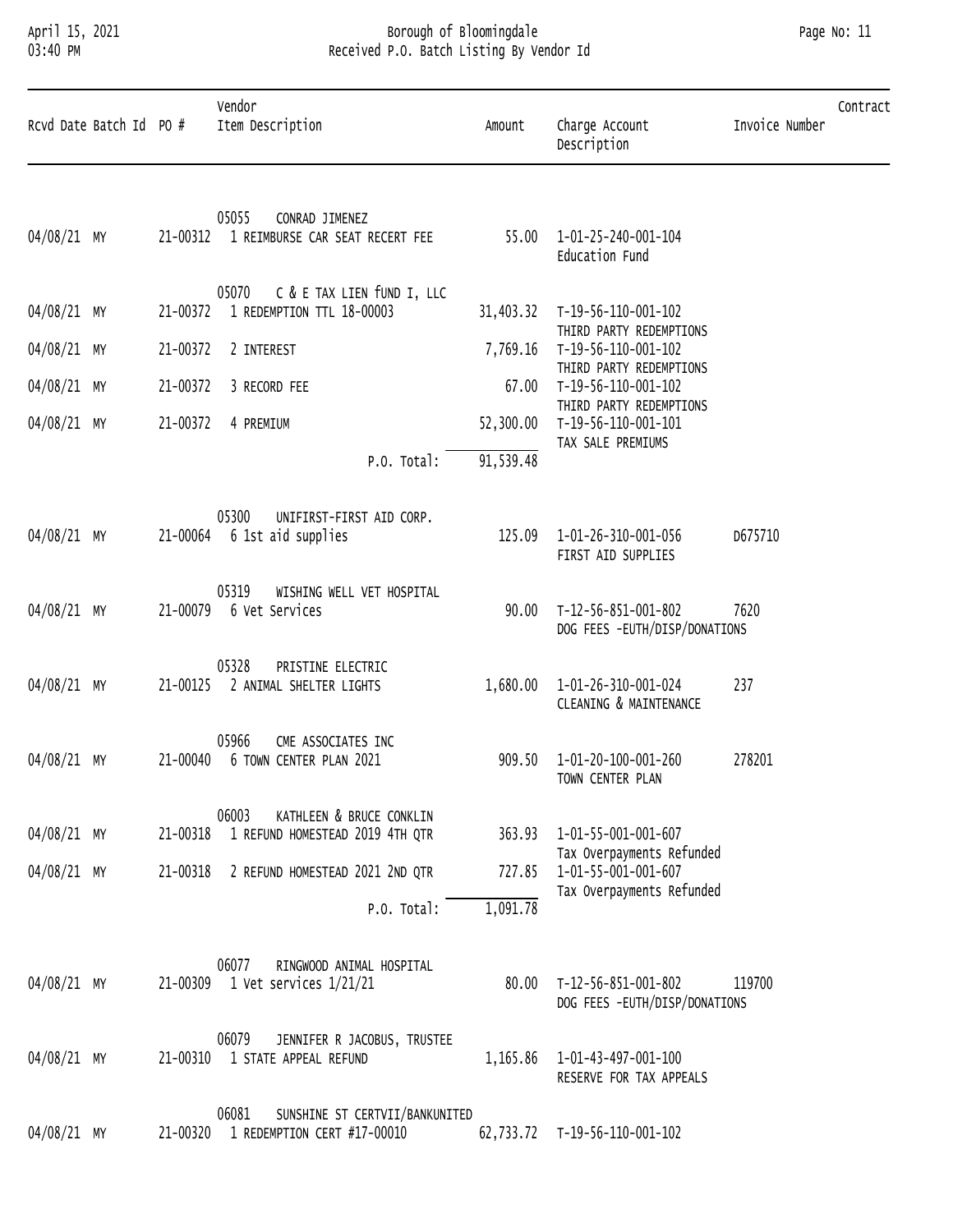# April 15, 2021 Borough of Bloomingdale Page No: 11 03:40 PM Received P.O. Batch Listing By Vendor Id

| Rcvd Date Batch Id PO # |          | Vendor<br>Item Description                                             | Amount    | Charge Account<br>Description                                                 | Invoice Number | Contract |
|-------------------------|----------|------------------------------------------------------------------------|-----------|-------------------------------------------------------------------------------|----------------|----------|
| 04/08/21 MY             | 21-00312 | 05055<br>CONRAD JIMENEZ<br>1 REIMBURSE CAR SEAT RECERT FEE             | 55.00     | 1-01-25-240-001-104<br>Education Fund                                         |                |          |
| 04/08/21 MY             | 21-00372 | C & E TAX LIEN fUND I, LLC<br>05070<br>1 REDEMPTION TTL 18-00003       | 31,403.32 | T-19-56-110-001-102                                                           |                |          |
| 04/08/21 MY             | 21-00372 | 2 INTEREST                                                             | 7,769.16  | THIRD PARTY REDEMPTIONS<br>T-19-56-110-001-102                                |                |          |
| 04/08/21 MY             | 21-00372 | 3 RECORD FEE                                                           | 67.00     | THIRD PARTY REDEMPTIONS<br>T-19-56-110-001-102                                |                |          |
| 04/08/21 MY             | 21-00372 | 4 PREMIUM                                                              | 52,300.00 | THIRD PARTY REDEMPTIONS<br>T-19-56-110-001-101<br>TAX SALE PREMIUMS           |                |          |
|                         |          | P.O. Total:                                                            | 91,539.48 |                                                                               |                |          |
| 04/08/21 MY             | 21-00064 | 05300<br>UNIFIRST-FIRST AID CORP.<br>6 1st aid supplies                | 125.09    | 1-01-26-310-001-056<br>FIRST AID SUPPLIES                                     | D675710        |          |
| 04/08/21 MY             | 21-00079 | 05319<br>WISHING WELL VET HOSPITAL<br>6 Vet Services                   | 90.00     | T-12-56-851-001-802<br>DOG FEES -EUTH/DISP/DONATIONS                          | 7620           |          |
| 04/08/21 MY             | 21-00125 | 05328<br>PRISTINE ELECTRIC<br>2 ANIMAL SHELTER LIGHTS                  | 1,680.00  | 1-01-26-310-001-024<br>CLEANING & MAINTENANCE                                 | 237            |          |
| 04/08/21 MY             | 21-00040 | 05966<br>CME ASSOCIATES INC<br>6 TOWN CENTER PLAN 2021                 |           | 909.50  1-01-20-100-001-260<br>TOWN CENTER PLAN                               | 278201         |          |
| 04/08/21 MY             | 21-00318 | 06003<br>KATHLEEN & BRUCE CONKLIN<br>1 REFUND HOMESTEAD 2019 4TH QTR   | 363.93    | 1-01-55-001-001-607                                                           |                |          |
| 04/08/21 MY             | 21-00318 | 2 REFUND HOMESTEAD 2021 2ND QTR                                        | 727.85    | Tax Overpayments Refunded<br>1-01-55-001-001-607<br>Tax Overpayments Refunded |                |          |
|                         |          | P.O. Total:                                                            | 1,091.78  |                                                                               |                |          |
| 04/08/21 MY             | 21-00309 | 06077<br>RINGWOOD ANIMAL HOSPITAL<br>$1$ Vet services $1/21/21$        | 80.00     | T-12-56-851-001-802<br>DOG FEES -EUTH/DISP/DONATIONS                          | 119700         |          |
| 04/08/21 MY             | 21-00310 | 06079<br>JENNIFER R JACOBUS, TRUSTEE<br>1 STATE APPEAL REFUND          | 1,165.86  | 1-01-43-497-001-100<br>RESERVE FOR TAX APPEALS                                |                |          |
| 04/08/21 MY             | 21-00320 | 06081<br>SUNSHINE ST CERTVII/BANKUNITED<br>1 REDEMPTION CERT #17-00010 |           | 62,733.72 T-19-56-110-001-102                                                 |                |          |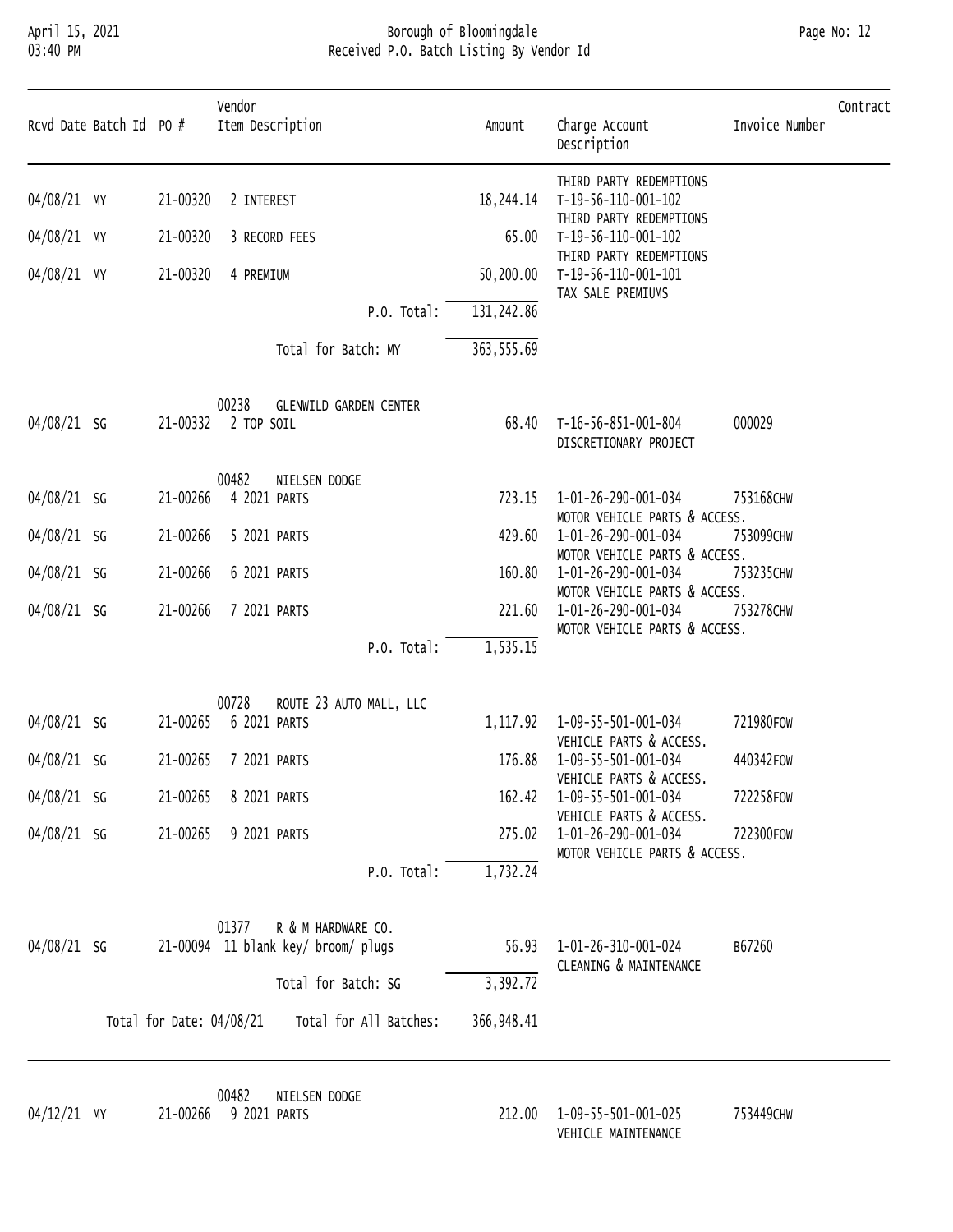# April 15, 2021 Borough of Bloomingdale Page No: 12 03:40 PM Received P.O. Batch Listing By Vendor Id

|             | Rcvd Date Batch Id PO # |                          | Vendor<br>Item Description                                         | Amount      | Charge Account<br>Description                                                         | Invoice Number | Contract |
|-------------|-------------------------|--------------------------|--------------------------------------------------------------------|-------------|---------------------------------------------------------------------------------------|----------------|----------|
| 04/08/21 MY |                         | 21-00320                 | 2 INTEREST                                                         | 18,244.14   | THIRD PARTY REDEMPTIONS<br>T-19-56-110-001-102<br>THIRD PARTY REDEMPTIONS             |                |          |
| 04/08/21 MY |                         | 21-00320                 | 3 RECORD FEES                                                      | 65.00       | T-19-56-110-001-102<br>THIRD PARTY REDEMPTIONS                                        |                |          |
| 04/08/21 MY |                         | 21-00320                 | 4 PREMIUM                                                          | 50,200.00   | T-19-56-110-001-101<br>TAX SALE PREMIUMS                                              |                |          |
|             |                         |                          | P.O. Total:                                                        | 131,242.86  |                                                                                       |                |          |
|             |                         |                          | Total for Batch: MY                                                | 363, 555.69 |                                                                                       |                |          |
| 04/08/21 SG |                         |                          | 00238<br><b>GLENWILD GARDEN CENTER</b><br>21-00332 2 TOP SOIL      | 68.40       | T-16-56-851-001-804<br>DISCRETIONARY PROJECT                                          | 000029         |          |
| 04/08/21 SG |                         | 21-00266                 | 00482<br>NIELSEN DODGE<br>4 2021 PARTS                             | 723.15      | 1-01-26-290-001-034<br>MOTOR VEHICLE PARTS & ACCESS.                                  | 753168CHW      |          |
| 04/08/21 SG |                         | 21-00266                 | 5 2021 PARTS                                                       | 429.60      | 1-01-26-290-001-034                                                                   | 753099CHW      |          |
| 04/08/21 SG |                         | 21-00266                 | 6 2021 PARTS                                                       | 160.80      | MOTOR VEHICLE PARTS & ACCESS.<br>1-01-26-290-001-034                                  | 753235CHW      |          |
| 04/08/21 SG |                         | 21-00266                 | 7 2021 PARTS                                                       | 221.60      | MOTOR VEHICLE PARTS & ACCESS.<br>1-01-26-290-001-034<br>MOTOR VEHICLE PARTS & ACCESS. | 753278CHW      |          |
|             |                         |                          | P.O. Total:                                                        | 1, 535.15   |                                                                                       |                |          |
| 04/08/21 SG |                         | 21-00265                 | 00728<br>ROUTE 23 AUTO MALL, LLC<br>6 2021 PARTS                   | 1,117.92    | 1-09-55-501-001-034<br>VEHICLE PARTS & ACCESS.                                        | 721980F0W      |          |
| 04/08/21 SG |                         | 21-00265                 | 7 2021 PARTS                                                       | 176.88      | 1-09-55-501-001-034                                                                   | 440342FOW      |          |
| 04/08/21 SG |                         | 21-00265                 | 8 2021 PARTS                                                       | 162.42      | VEHICLE PARTS & ACCESS.<br>1-09-55-501-001-034<br>VEHICLE PARTS & ACCESS.             | 722258FOW      |          |
| 04/08/21 SG |                         | 21-00265                 | 9 2021 PARTS                                                       | 275.02      | 1-01-26-290-001-034<br>MOTOR VEHICLE PARTS & ACCESS.                                  | 722300F0W      |          |
|             |                         |                          | P.O. Total:                                                        | 1,732.24    |                                                                                       |                |          |
| 04/08/21 SG |                         |                          | R & M HARDWARE CO.<br>01377<br>21-00094 11 blank key/ broom/ plugs | 56.93       | 1-01-26-310-001-024<br>CLEANING & MAINTENANCE                                         | B67260         |          |
|             |                         |                          | Total for Batch: SG                                                | 3,392.72    |                                                                                       |                |          |
|             |                         | Total for Date: 04/08/21 | Total for All Batches:                                             | 366,948.41  |                                                                                       |                |          |

00482 NIELSEN DODGE

212.00 1-09-55-501-001-025 753449CHW VEHICLE MAINTENANCE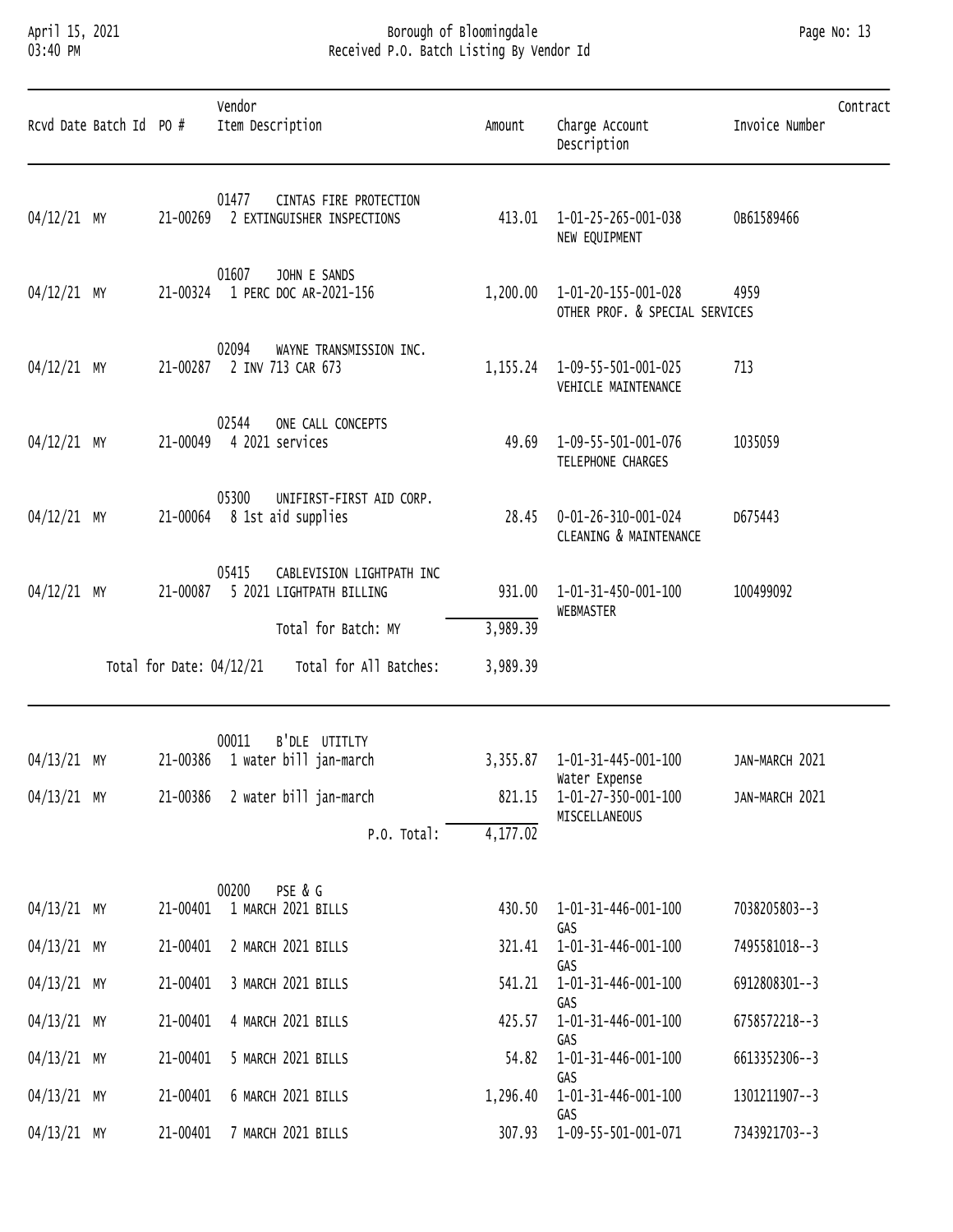# April 15, 2021 Borough of Bloomingdale Page No: 13 03:40 PM Received P.O. Batch Listing By Vendor Id

| Page No: | 13 |
|----------|----|
|          |    |

|               | Rcvd Date Batch Id PO # |                            | Vendor<br>Item Description |                                                         | Amount               | Charge Account<br>Description                         | Contract<br>Invoice Number |
|---------------|-------------------------|----------------------------|----------------------------|---------------------------------------------------------|----------------------|-------------------------------------------------------|----------------------------|
| 04/12/21 MY   |                         | 21-00269                   | 01477                      | CINTAS FIRE PROTECTION<br>2 EXTINGUISHER INSPECTIONS    | 413.01               | 1-01-25-265-001-038<br>NEW EQUIPMENT                  | 0B61589466                 |
| 04/12/21 MY   |                         |                            | 01607                      | JOHN E SANDS<br>21-00324 1 PERC DOC AR-2021-156         | 1,200.00             | 1-01-20-155-001-028<br>OTHER PROF. & SPECIAL SERVICES | 4959                       |
| 04/12/21 MY   |                         | 21-00287                   | 02094                      | WAYNE TRANSMISSION INC.<br>2 INV 713 CAR 673            | 1, 155.24            | 1-09-55-501-001-025<br>VEHICLE MAINTENANCE            | 713                        |
| 04/12/21 MY   |                         | 21-00049                   | 02544                      | ONE CALL CONCEPTS<br>4 2021 services                    | 49.69                | 1-09-55-501-001-076<br>TELEPHONE CHARGES              | 1035059                    |
| 04/12/21 MY   |                         |                            | 05300                      | UNIFIRST-FIRST AID CORP.<br>21-00064 8 1st aid supplies | 28.45                | 0-01-26-310-001-024<br>CLEANING & MAINTENANCE         | D675443                    |
| 04/12/21 MY   |                         | 21-00087                   | 05415                      | CABLEVISION LIGHTPATH INC<br>5 2021 LIGHTPATH BILLING   | 931.00               | 1-01-31-450-001-100<br>WEBMASTER                      | 100499092                  |
|               |                         | Total for Date: $04/12/21$ |                            | Total for Batch: MY<br>Total for All Batches:           | 3,989.39<br>3,989.39 |                                                       |                            |
| 04/13/21 MY   |                         |                            | 00011                      | B'DLE UTITLTY<br>21-00386 1 water bill jan-march        |                      | 3,355.87  1-01-31-445-001-100                         | JAN-MARCH 2021             |
| $04/13/21$ MY |                         |                            |                            | 21-00386 2 water bill jan-march<br>P.O. Total:          | 821.15<br>4,177.02   | Water Expense<br>1-01-27-350-001-100<br>MISCELLANEOUS | JAN-MARCH 2021             |
|               |                         |                            | 00200                      | PSE & G                                                 |                      |                                                       |                            |
| 04/13/21 MY   |                         |                            |                            | 21-00401 1 MARCH 2021 BILLS                             |                      | 430.50  1-01-31-446-001-100<br>GAS                    | 7038205803--3              |
| $04/13/21$ MY |                         | 21-00401                   |                            | 2 MARCH 2021 BILLS                                      |                      | 321.41  1-01-31-446-001-100<br>GAS                    | 7495581018--3              |
| $04/13/21$ MY |                         | 21-00401                   |                            | 3 MARCH 2021 BILLS                                      | 541.21               | 1-01-31-446-001-100<br>GAS                            | 6912808301--3              |
| $04/13/21$ MY |                         | 21-00401                   |                            | 4 MARCH 2021 BILLS                                      | 425.57               | 1-01-31-446-001-100<br>GAS                            | 6758572218--3              |
| $04/13/21$ MY |                         | 21-00401                   |                            | 5 MARCH 2021 BILLS                                      |                      | 54.82  1-01-31-446-001-100<br>GAS                     | 6613352306--3              |
| $04/13/21$ MY |                         | 21-00401                   |                            | 6 MARCH 2021 BILLS                                      | 1,296.40             | 1-01-31-446-001-100<br>GAS                            | 1301211907--3              |
| $04/13/21$ MY |                         | 21-00401                   |                            | 7 MARCH 2021 BILLS                                      | 307.93               | 1-09-55-501-001-071                                   | 7343921703--3              |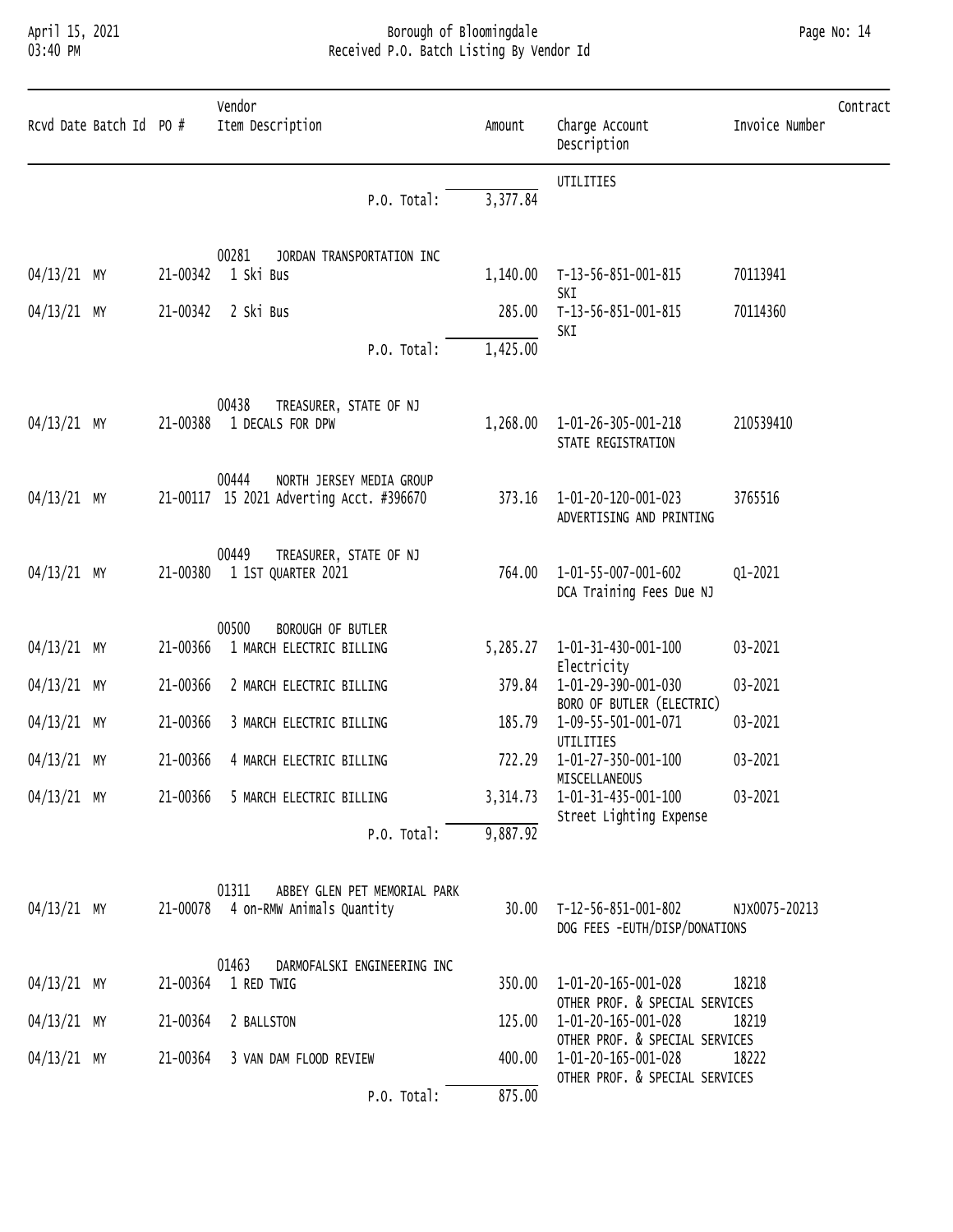# April 15, 2021 Borough of Bloomingdale Page No: 14 03:40 PM Received P.O. Batch Listing By Vendor Id

|             | Rcvd Date Batch Id PO # |          | Vendor<br>Item Description                                                    | Amount             | Charge Account<br>Description                                   | Contract<br>Invoice Number |
|-------------|-------------------------|----------|-------------------------------------------------------------------------------|--------------------|-----------------------------------------------------------------|----------------------------|
|             |                         |          | P.O. Total:                                                                   | 3,377.84           | UTILITIES                                                       |                            |
| 04/13/21 MY |                         |          | 00281<br>JORDAN TRANSPORTATION INC<br>21-00342 1 Ski Bus                      | 1,140.00           | T-13-56-851-001-815<br>SKI                                      | 70113941                   |
| 04/13/21 MY |                         | 21-00342 | 2 Ski Bus<br>P.O. Total:                                                      | 285.00<br>1,425.00 | T-13-56-851-001-815<br>SKI                                      | 70114360                   |
| 04/13/21 MY |                         | 21-00388 | 00438<br>TREASURER, STATE OF NJ<br>1 DECALS FOR DPW                           | 1,268.00           | 1-01-26-305-001-218<br>STATE REGISTRATION                       | 210539410                  |
| 04/13/21 MY |                         |          | 00444<br>NORTH JERSEY MEDIA GROUP<br>21-00117 15 2021 Adverting Acct. #396670 | 373.16             | 1-01-20-120-001-023<br>ADVERTISING AND PRINTING                 | 3765516                    |
| 04/13/21 MY |                         | 21-00380 | 00449<br>TREASURER, STATE OF NJ<br>1 1ST QUARTER 2021                         | 764.00             | 1-01-55-007-001-602<br>DCA Training Fees Due NJ                 | Q1-2021                    |
| 04/13/21 MY |                         | 21-00366 | 00500<br>BOROUGH OF BUTLER<br>1 MARCH ELECTRIC BILLING                        | 5,285.27           | 1-01-31-430-001-100<br>Electricity                              | 03-2021                    |
| 04/13/21 MY |                         | 21-00366 | 2 MARCH ELECTRIC BILLING                                                      | 379.84             | 1-01-29-390-001-030                                             | 03-2021                    |
| 04/13/21 MY |                         | 21-00366 | 3 MARCH ELECTRIC BILLING                                                      | 185.79             | BORO OF BUTLER (ELECTRIC)<br>1-09-55-501-001-071                | 03-2021                    |
| 04/13/21 MY |                         | 21-00366 | 4 MARCH ELECTRIC BILLING                                                      | 722.29             | UTILITIES<br>1-01-27-350-001-100                                | 03-2021                    |
| 04/13/21 MY |                         |          | 21-00366 5 MARCH ELECTRIC BILLING                                             | 3,314.73           | MISCELLANEOUS<br>1-01-31-435-001-100<br>Street Lighting Expense | 03-2021                    |
|             |                         |          | P.O. Total:                                                                   | 9,887.92           |                                                                 |                            |
| 04/13/21 MY |                         |          | 01311<br>ABBEY GLEN PET MEMORIAL PARK<br>21-00078 4 on-RMW Animals Quantity   | 30.00              | T-12-56-851-001-802<br>DOG FEES -EUTH/DISP/DONATIONS            | NJX0075-20213              |
| 04/13/21 MY |                         |          | 01463<br>DARMOFALSKI ENGINEERING INC<br>21-00364 1 RED TWIG                   | 350.00             | 1-01-20-165-001-028                                             | 18218                      |
| 04/13/21 MY |                         | 21-00364 | 2 BALLSTON                                                                    | 125.00             | OTHER PROF. & SPECIAL SERVICES<br>1-01-20-165-001-028           | 18219                      |
| 04/13/21 MY |                         | 21-00364 | 3 VAN DAM FLOOD REVIEW                                                        | 400.00             | OTHER PROF. & SPECIAL SERVICES<br>1-01-20-165-001-028           | 18222                      |
|             |                         |          | P.O. Total:                                                                   | 875.00             | OTHER PROF. & SPECIAL SERVICES                                  |                            |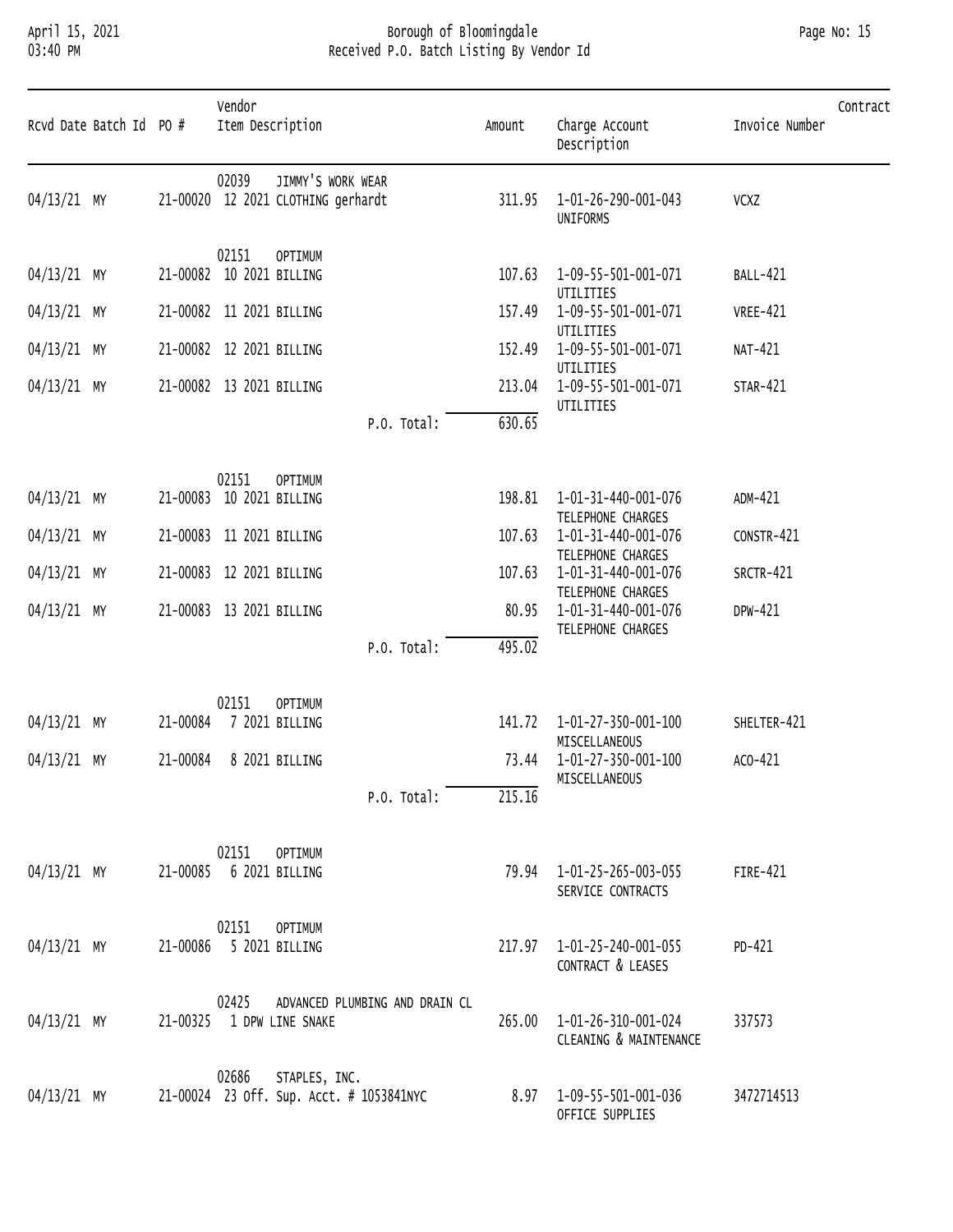# April 15, 2021 Borough of Bloomingdale Page No: 15 03:40 PM Received P.O. Batch Listing By Vendor Id

| Page No: | 15 |
|----------|----|
|          |    |

| Rcvd Date Batch Id PO # |          | Vendor<br>Item Description                                         | Amount | Charge Account<br>Description                                 | Contract<br>Invoice Number |
|-------------------------|----------|--------------------------------------------------------------------|--------|---------------------------------------------------------------|----------------------------|
| 04/13/21 MY             |          | JIMMY'S WORK WEAR<br>02039<br>21-00020 12 2021 CLOTHING gerhardt   | 311.95 | 1-01-26-290-001-043<br>UNIFORMS                               | VCXZ                       |
| $04/13/21$ MY           |          | 02151<br><b>OPTIMUM</b><br>21-00082 10 2021 BILLING                | 107.63 | 1-09-55-501-001-071                                           | <b>BALL-421</b>            |
| $04/13/21$ MY           |          | 21-00082 11 2021 BILLING                                           | 157.49 | UTILITIES<br>1-09-55-501-001-071                              | <b>VREE-421</b>            |
| $04/13/21$ MY           |          | 21-00082 12 2021 BILLING                                           | 152.49 | UTILITIES<br>1-09-55-501-001-071                              | NAT-421                    |
| $04/13/21$ MY           |          | 21-00082 13 2021 BILLING                                           | 213.04 | UTILITIES<br>1-09-55-501-001-071<br>UTILITIES                 | <b>STAR-421</b>            |
|                         |          | P.O. Total:                                                        | 630.65 |                                                               |                            |
| $04/13/21$ MY           | 21-00083 | 02151<br><b>OPTIMUM</b><br>10 2021 BILLING                         | 198.81 | 1-01-31-440-001-076                                           | ADM-421                    |
| $04/13/21$ MY           |          | 21-00083 11 2021 BILLING                                           | 107.63 | TELEPHONE CHARGES<br>1-01-31-440-001-076                      | CONSTR-421                 |
| $04/13/21$ MY           |          | 21-00083 12 2021 BILLING                                           | 107.63 | TELEPHONE CHARGES<br>1-01-31-440-001-076                      | SRCTR-421                  |
| $04/13/21$ MY           |          | 21-00083 13 2021 BILLING                                           | 80.95  | TELEPHONE CHARGES<br>1-01-31-440-001-076<br>TELEPHONE CHARGES | DPW-421                    |
|                         |          | P.O. Total:                                                        | 495.02 |                                                               |                            |
| 04/13/21 MY             | 21-00084 | 02151<br><b>OPTIMUM</b><br>7 2021 BILLING                          | 141.72 | 1-01-27-350-001-100<br>MISCELLANEOUS                          | SHELTER-421                |
| 04/13/21 MY             | 21-00084 | 8 2021 BILLING                                                     | 73.44  | 1-01-27-350-001-100<br>MISCELLANEOUS                          | ACO-421                    |
|                         |          | P.O. Total:                                                        | 215.16 |                                                               |                            |
| 04/13/21 MY             | 21-00085 | 02151<br><b>OPTIMUM</b><br>6 2021 BILLING                          |        | 79.94   1-01-25-265-003-055<br>SERVICE CONTRACTS              | FIRE-421                   |
| $04/13/21$ MY           |          | 02151<br><b>OPTIMUM</b><br>21-00086 5 2021 BILLING                 |        | 217.97  1-01-25-240-001-055<br>CONTRACT & LEASES              | PD-421                     |
| $04/13/21$ MY           | 21-00325 | 02425<br>ADVANCED PLUMBING AND DRAIN CL<br>1 DPW LINE SNAKE        | 265.00 | 1-01-26-310-001-024<br>CLEANING & MAINTENANCE                 | 337573                     |
| $04/13/21$ MY           |          | 02686<br>STAPLES, INC.<br>21-00024 23 off. sup. Acct. # 1053841NYC |        | 8.97 1-09-55-501-001-036<br>OFFICE SUPPLIES                   | 3472714513                 |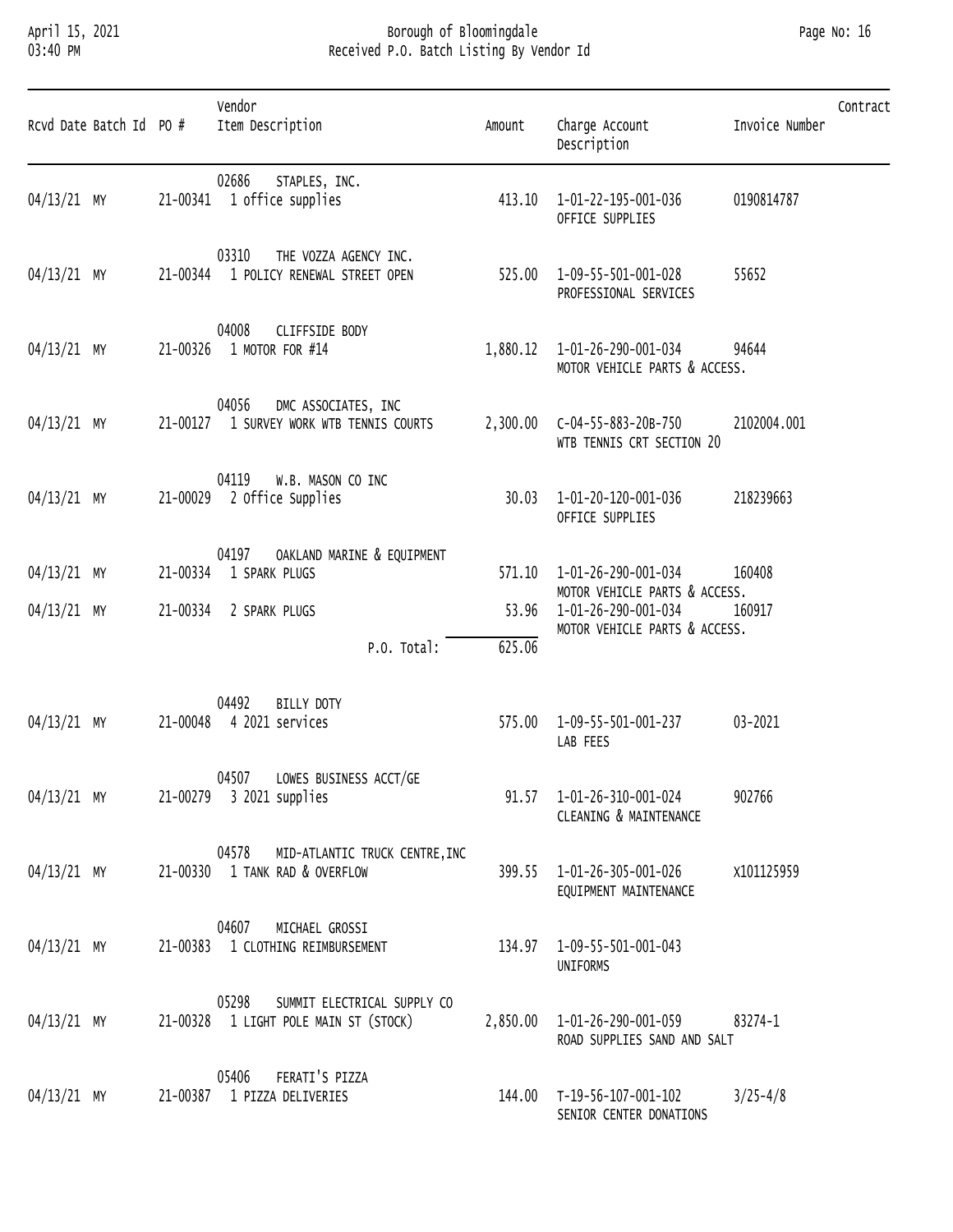### April 15, 2021 Borough of Bloomingdale Page No: 16 03:40 PM Received P.O. Batch Listing By Vendor Id

| Page No: | -16 |
|----------|-----|
|          |     |

| Rcvd Date Batch Id PO # |          | Vendor<br>Item Description                                                    | Amount | Charge Account<br>Description                                  | Invoice Number | Contract |
|-------------------------|----------|-------------------------------------------------------------------------------|--------|----------------------------------------------------------------|----------------|----------|
| $04/13/21$ MY           |          | 02686<br>STAPLES, INC.<br>21-00341 1 office supplies                          |        | 413.10  1-01-22-195-001-036<br>OFFICE SUPPLIES                 | 0190814787     |          |
| $04/13/21$ MY           | 21-00344 | 03310<br>THE VOZZA AGENCY INC.<br>1 POLICY RENEWAL STREET OPEN                |        | 525.00  1-09-55-501-001-028<br>PROFESSIONAL SERVICES           | 55652          |          |
| $04/13/21$ MY           |          | 04008<br>CLIFFSIDE BODY<br>21-00326 1 MOTOR FOR #14                           |        | 1,880.12  1-01-26-290-001-034<br>MOTOR VEHICLE PARTS & ACCESS. | 94644          |          |
| $04/13/21$ MY           |          | 04056<br>DMC ASSOCIATES, INC<br>21-00127 1 SURVEY WORK WTB TENNIS COURTS      |        | WTB TENNIS CRT SECTION 20                                      | 2102004.001    |          |
| $04/13/21$ MY           |          | 04119<br>W.B. MASON CO INC<br>21-00029 2 Office Supplies                      |        | 30.03 1-01-20-120-001-036<br>OFFICE SUPPLIES                   | 218239663      |          |
|                         |          | 04197<br>OAKLAND MARINE & EQUIPMENT                                           |        |                                                                |                |          |
| $04/13/21$ MY           | 21-00334 | 1 SPARK PLUGS                                                                 |        | 571.10  1-01-26-290-001-034<br>MOTOR VEHICLE PARTS & ACCESS.   | 160408         |          |
| $04/13/21$ MY           |          | 21-00334 2 SPARK PLUGS                                                        |        | 53.96 1-01-26-290-001-034<br>MOTOR VEHICLE PARTS & ACCESS.     | 160917         |          |
|                         |          | P.O. Total:                                                                   | 625.06 |                                                                |                |          |
| $04/13/21$ MY           | 21-00048 | 04492<br><b>BILLY DOTY</b><br>4 2021 services                                 |        | 575.00  1-09-55-501-001-237<br>LAB FEES                        | 03-2021        |          |
| $04/13/21$ MY           |          | 04507 LOWES BUSINESS ACCT/GE<br>21-00279 3 2021 supplies                      |        | 91.57  1-01-26-310-001-024<br>CLEANING & MAINTENANCE           | 902766         |          |
| $04/13/21$ MY           |          | 04578<br>MID-ATLANTIC TRUCK CENTRE, INC<br>21-00330 1 TANK RAD & OVERFLOW     |        | 399.55 1-01-26-305-001-026<br>EQUIPMENT MAINTENANCE            | X101125959     |          |
| $04/13/21$ MY           |          | 04607<br>MICHAEL GROSSI<br>21-00383 1 CLOTHING REIMBURSEMENT                  |        | 134.97  1-09-55-501-001-043<br>UNIFORMS                        |                |          |
| $04/13/21$ MY           |          | 05298<br>SUMMIT ELECTRICAL SUPPLY CO<br>21-00328 1 LIGHT POLE MAIN ST (STOCK) |        | 2,850.00  1-01-26-290-001-059<br>ROAD SUPPLIES SAND AND SALT   | 83274-1        |          |
| $04/13/21$ MY           |          | FERATI'S PIZZA<br>05406<br>21-00387 1 PIZZA DELIVERIES                        |        | 144.00 T-19-56-107-001-102<br>SENIOR CENTER DONATIONS          | $3/25 - 4/8$   |          |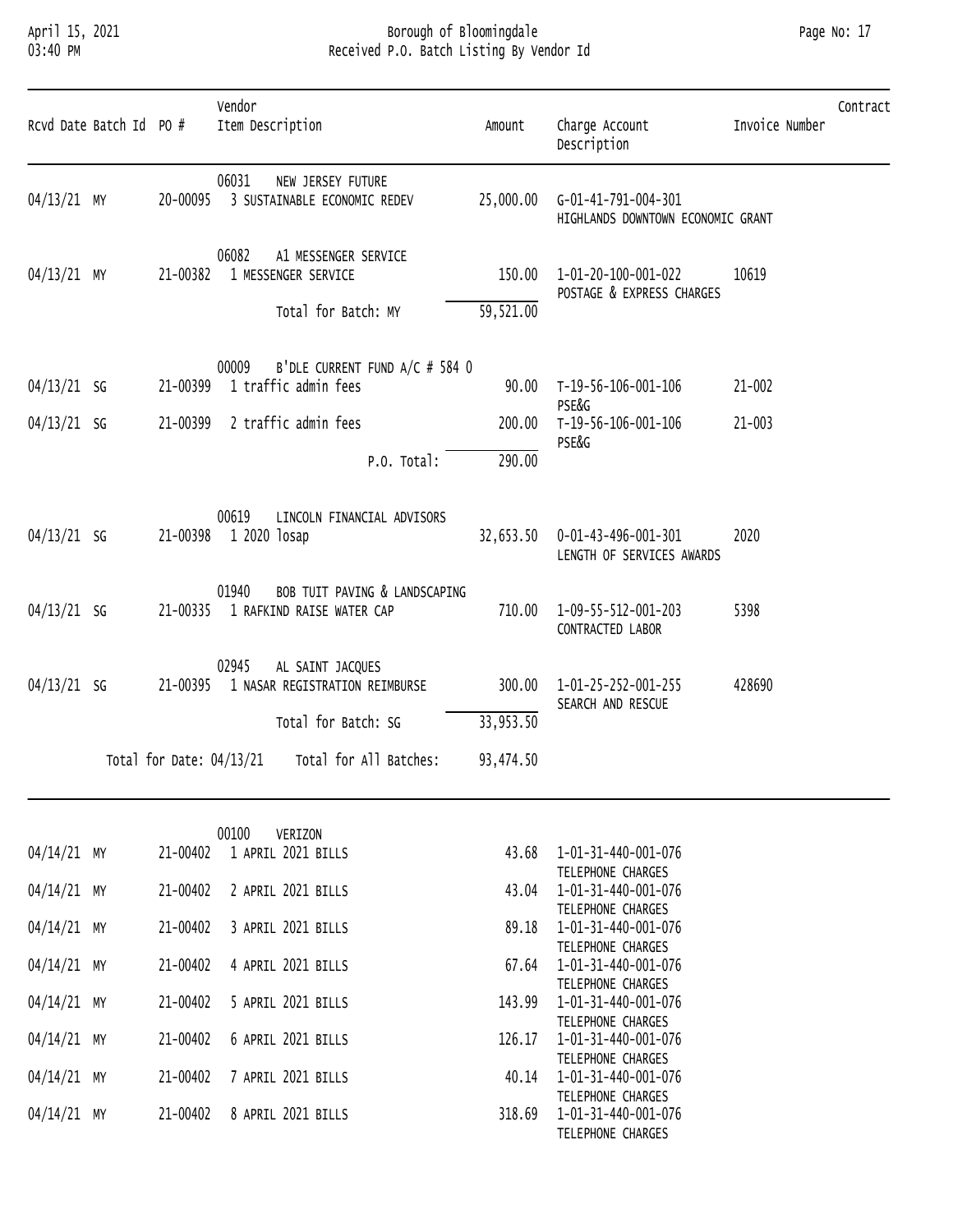# April 15, 2021 Borough of Bloomingdale Page No: 17 03:40 PM Received P.O. Batch Listing By Vendor Id

| Rcvd Date Batch Id PO # |                          | Vendor<br>Item Description                                          | Amount    | Charge Account<br>Description                                         | Invoice Number | Contract |
|-------------------------|--------------------------|---------------------------------------------------------------------|-----------|-----------------------------------------------------------------------|----------------|----------|
| 04/13/21 MY             | 20-00095                 | 06031<br>NEW JERSEY FUTURE<br>3 SUSTAINABLE ECONOMIC REDEV          |           | 25,000.00    G-01-41-791-004-301<br>HIGHLANDS DOWNTOWN ECONOMIC GRANT |                |          |
| 04/13/21 MY             | 21-00382                 | 06082<br>A1 MESSENGER SERVICE<br>1 MESSENGER SERVICE                | 150.00    | 1-01-20-100-001-022<br>POSTAGE & EXPRESS CHARGES                      | 10619          |          |
|                         |                          | Total for Batch: MY                                                 | 59,521.00 |                                                                       |                |          |
| $04/13/21$ SG           | 21-00399                 | B'DLE CURRENT FUND A/C # 584 0<br>00009<br>1 traffic admin fees     | 90.00     | T-19-56-106-001-106<br>PSE&G                                          | $21 - 002$     |          |
| $04/13/21$ SG           | 21-00399                 | 2 traffic admin fees                                                | 200.00    | T-19-56-106-001-106<br>PSE&G                                          | $21 - 003$     |          |
|                         |                          | P.O. Total:                                                         | 290.00    |                                                                       |                |          |
| $04/13/21$ SG           |                          | 00619<br>LINCOLN FINANCIAL ADVISORS<br>21-00398 1 2020 losap        | 32,653.50 | 0-01-43-496-001-301<br>LENGTH OF SERVICES AWARDS                      | 2020           |          |
| $04/13/21$ SG           | 21-00335                 | 01940<br>BOB TUIT PAVING & LANDSCAPING<br>1 RAFKIND RAISE WATER CAP | 710.00    | 1-09-55-512-001-203<br>CONTRACTED LABOR                               | 5398           |          |
| $04/13/21$ SG           | 21-00395                 | 02945<br>AL SAINT JACQUES<br>1 NASAR REGISTRATION REIMBURSE         | 300.00    | 1-01-25-252-001-255<br>SEARCH AND RESCUE                              | 428690         |          |
|                         |                          | Total for Batch: SG                                                 | 33,953.50 |                                                                       |                |          |
|                         | Total for Date: 04/13/21 | Total for All Batches:                                              | 93,474.50 |                                                                       |                |          |

|             |          | 00100 | VERIZON            |        |                     |
|-------------|----------|-------|--------------------|--------|---------------------|
| 04/14/21 MY | 21-00402 |       | 1 APRIL 2021 BILLS | 43.68  | 1-01-31-440-001-076 |
|             |          |       |                    |        | TELEPHONE CHARGES   |
| 04/14/21 MY | 21-00402 |       | 2 APRIL 2021 BILLS | 43.04  | 1-01-31-440-001-076 |
|             |          |       |                    |        | TELEPHONE CHARGES   |
| 04/14/21 MY | 21-00402 |       | 3 APRIL 2021 BILLS | 89.18  | 1-01-31-440-001-076 |
|             |          |       |                    |        | TELEPHONE CHARGES   |
| 04/14/21 MY | 21-00402 |       | 4 APRIL 2021 BILLS | 67.64  | 1-01-31-440-001-076 |
|             |          |       |                    |        | TELEPHONE CHARGES   |
| 04/14/21 MY | 21-00402 |       | 5 APRIL 2021 BILLS | 143.99 | 1-01-31-440-001-076 |
|             |          |       |                    |        | TELEPHONE CHARGES   |
| 04/14/21 MY | 21-00402 |       | 6 APRIL 2021 BILLS | 126.17 | 1-01-31-440-001-076 |
|             |          |       |                    |        | TELEPHONE CHARGES   |
| 04/14/21 MY | 21-00402 |       | 7 APRIL 2021 BILLS | 40.14  | 1-01-31-440-001-076 |
|             |          |       |                    |        | TELEPHONE CHARGES   |
| 04/14/21 MY | 21-00402 |       | 8 APRIL 2021 BILLS | 318.69 | 1-01-31-440-001-076 |
|             |          |       |                    |        |                     |

| 04/14/21 MY |    | 21-00402 | 1 APRIL 2021 BILLS | 43.68  | 1-01-31-440-001-076 |
|-------------|----|----------|--------------------|--------|---------------------|
|             |    |          |                    |        | TELEPHONE CHARGES   |
| 04/14/21    | МY | 21-00402 | 2 APRIL 2021 BILLS | 43.04  | 1-01-31-440-001-076 |
|             |    |          |                    |        | TELEPHONE CHARGES   |
| 04/14/21 MY |    | 21-00402 | 3 APRIL 2021 BILLS | 89.18  | 1-01-31-440-001-076 |
|             |    |          |                    |        | TELEPHONE CHARGES   |
| 04/14/21    | MY | 21-00402 | 4 APRIL 2021 BILLS | 67.64  | 1-01-31-440-001-076 |
|             |    |          |                    |        | TELEPHONE CHARGES   |
| 04/14/21    | MY | 21-00402 | 5 APRIL 2021 BILLS | 143.99 | 1-01-31-440-001-076 |
|             |    |          |                    |        | TELEPHONE CHARGES   |
| 04/14/21    | MY | 21-00402 | 6 APRIL 2021 BILLS | 126.17 | 1-01-31-440-001-076 |
|             |    |          |                    |        | TELEPHONE CHARGES   |
| 04/14/21    | MY | 21-00402 | 7 APRIL 2021 BILLS | 40.14  | 1-01-31-440-001-076 |
|             |    |          |                    |        | TELEPHONE CHARGES   |
| 04/14/21 MY |    | 21-00402 | 8 APRIL 2021 BILLS | 318.69 | 1-01-31-440-001-076 |
|             |    |          |                    |        | TELEPHONE CHARGES   |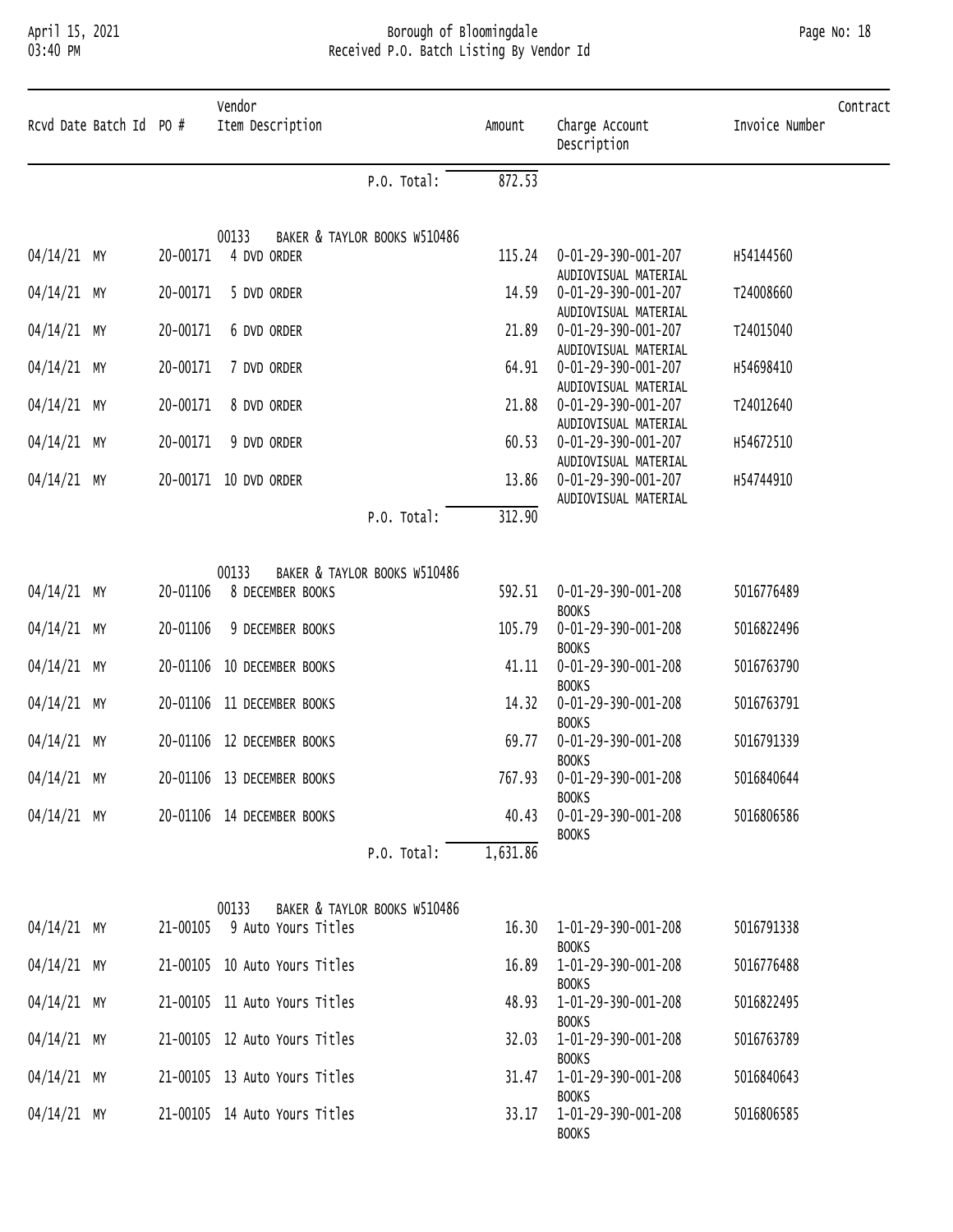# April 15, 2021 Borough of Bloomingdale Page No: 18 03:40 PM Received P.O. Batch Listing By Vendor Id

| Rcvd Date Batch Id PO # |          | Vendor<br>Item Description            | Amount   | Charge Account<br>Description               | Contract<br>Invoice Number |
|-------------------------|----------|---------------------------------------|----------|---------------------------------------------|----------------------------|
|                         |          | P.O. Total:                           | 872.53   |                                             |                            |
|                         |          | 00133<br>BAKER & TAYLOR BOOKS W510486 |          |                                             |                            |
| 04/14/21 MY             | 20-00171 | 4 DVD ORDER                           | 115.24   | 0-01-29-390-001-207                         | H54144560                  |
|                         |          |                                       |          | AUDIOVISUAL MATERIAL                        |                            |
| 04/14/21 MY             | 20-00171 | 5 DVD ORDER                           | 14.59    | 0-01-29-390-001-207                         | T24008660                  |
|                         |          |                                       |          | AUDIOVISUAL MATERIAL                        |                            |
| 04/14/21 MY             | 20-00171 | 6 DVD ORDER                           | 21.89    | 0-01-29-390-001-207<br>AUDIOVISUAL MATERIAL | T24015040                  |
| 04/14/21 MY             | 20-00171 | 7 DVD ORDER                           | 64.91    | 0-01-29-390-001-207                         | H54698410                  |
|                         |          |                                       |          | AUDIOVISUAL MATERIAL                        |                            |
| 04/14/21 MY             | 20-00171 | 8 DVD ORDER                           | 21.88    | 0-01-29-390-001-207                         | T24012640                  |
|                         |          |                                       |          | AUDIOVISUAL MATERIAL                        |                            |
| 04/14/21 MY             | 20-00171 | 9 DVD ORDER                           | 60.53    | 0-01-29-390-001-207                         | H54672510                  |
| 04/14/21 MY             |          | 20-00171 10 DVD ORDER                 | 13.86    | AUDIOVISUAL MATERIAL<br>0-01-29-390-001-207 | H54744910                  |
|                         |          |                                       |          | AUDIOVISUAL MATERIAL                        |                            |
|                         |          | P.O. Total:                           | 312.90   |                                             |                            |
|                         |          |                                       |          |                                             |                            |
|                         |          | 00133<br>BAKER & TAYLOR BOOKS W510486 |          |                                             |                            |
| 04/14/21 MY             | 20-01106 | 8 DECEMBER BOOKS                      | 592.51   | 0-01-29-390-001-208                         | 5016776489                 |
|                         |          |                                       |          | <b>BOOKS</b>                                |                            |
| 04/14/21 MY             | 20-01106 | 9 DECEMBER BOOKS                      | 105.79   | 0-01-29-390-001-208                         | 5016822496                 |
|                         |          |                                       |          | <b>BOOKS</b>                                |                            |
| 04/14/21 MY             |          | 20-01106 10 DECEMBER BOOKS            | 41.11    | 0-01-29-390-001-208<br><b>BOOKS</b>         | 5016763790                 |
| 04/14/21 MY             |          | 20-01106 11 DECEMBER BOOKS            | 14.32    | 0-01-29-390-001-208                         | 5016763791                 |
|                         |          |                                       |          | <b>BOOKS</b>                                |                            |
| 04/14/21 MY             |          | 20-01106 12 DECEMBER BOOKS            | 69.77    | 0-01-29-390-001-208                         | 5016791339                 |
|                         |          |                                       |          | <b>BOOKS</b>                                |                            |
| $04/14/21$ MY           |          | 20-01106 13 DECEMBER BOOKS            |          | 767.93  0-01-29-390-001-208<br><b>BOOKS</b> | 5016840644                 |
| $04/14/21$ MY           |          | 20-01106 14 DECEMBER BOOKS            |          | 40.43  0-01-29-390-001-208                  | 5016806586                 |
|                         |          |                                       |          | <b>BOOKS</b>                                |                            |
|                         |          | P.O. Total:                           | 1,631.86 |                                             |                            |
|                         |          |                                       |          |                                             |                            |
|                         |          | BAKER & TAYLOR BOOKS W510486<br>00133 |          |                                             |                            |
| $04/14/21$ MY           |          | 21-00105 9 Auto Yours Titles          |          | 16.30  1-01-29-390-001-208<br><b>BOOKS</b>  | 5016791338                 |
| $04/14/21$ MY           |          | 21-00105 10 Auto Yours Titles         | 16.89    | 1-01-29-390-001-208                         | 5016776488                 |
|                         |          |                                       |          | <b>BOOKS</b>                                |                            |
| 04/14/21 MY             |          | 21-00105 11 Auto Yours Titles         |          | 48.93  1-01-29-390-001-208                  | 5016822495                 |
|                         |          |                                       |          | <b>BOOKS</b>                                |                            |
| $04/14/21$ MY           |          | 21-00105 12 Auto Yours Titles         |          | 32.03  1-01-29-390-001-208                  | 5016763789                 |
| 04/14/21 MY             |          | 21-00105 13 Auto Yours Titles         |          | <b>BOOKS</b><br>31.47   1-01-29-390-001-208 | 5016840643                 |
|                         |          |                                       |          | <b>BOOKS</b>                                |                            |
| $04/14/21$ MY           |          | 21-00105 14 Auto Yours Titles         |          | 33.17  1-01-29-390-001-208                  | 5016806585                 |

BOOKS **BOOKS**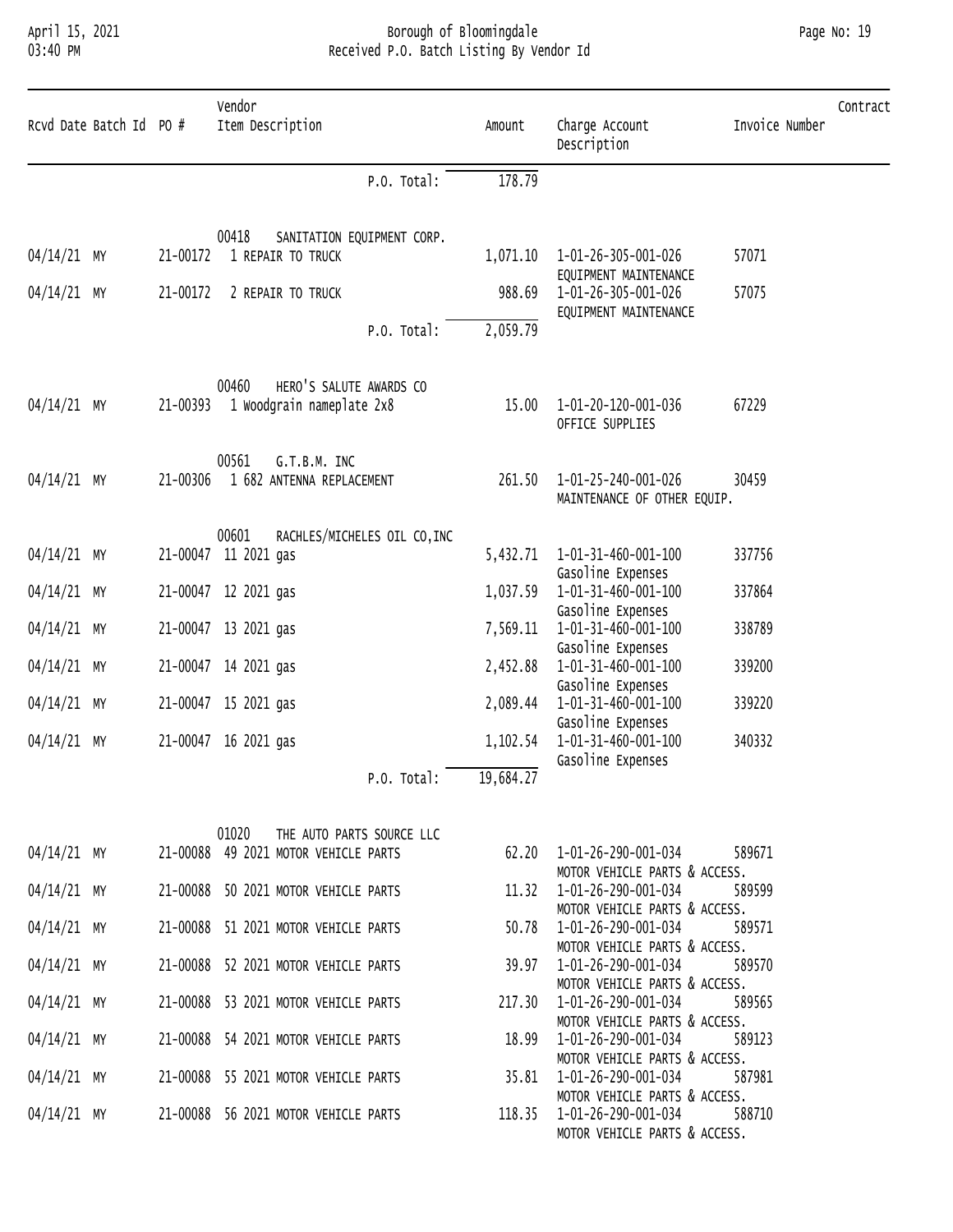# April 15, 2021 Borough of Bloomingdale Page No: 19 03:40 PM Received P.O. Batch Listing By Vendor Id

| Rcvd Date Batch Id PO # |  | Vendor<br>Item Description            | Amount    | Charge Account<br>Description                                         | Invoice Number | Contract |
|-------------------------|--|---------------------------------------|-----------|-----------------------------------------------------------------------|----------------|----------|
|                         |  | P.O. Total:                           | 178.79    |                                                                       |                |          |
|                         |  | 00418<br>SANITATION EQUIPMENT CORP.   |           |                                                                       |                |          |
| 04/14/21 MY             |  | 21-00172 1 REPAIR TO TRUCK            | 1,071.10  | 1-01-26-305-001-026                                                   | 57071          |          |
| 04/14/21 MY             |  | 21-00172 2 REPAIR TO TRUCK            | 988.69    | EQUIPMENT MAINTENANCE<br>1-01-26-305-001-026<br>EQUIPMENT MAINTENANCE | 57075          |          |
|                         |  | P.O. Total:                           | 2,059.79  |                                                                       |                |          |
|                         |  | 00460<br>HERO'S SALUTE AWARDS CO      |           |                                                                       |                |          |
| 04/14/21 MY             |  | 21-00393 1 Woodgrain nameplate 2x8    | 15.00     | 1-01-20-120-001-036<br>OFFICE SUPPLIES                                | 67229          |          |
|                         |  | 00561<br>G.T.B.M. INC                 |           |                                                                       |                |          |
| 04/14/21 MY             |  | 21-00306 1 682 ANTENNA REPLACEMENT    | 261.50    | 1-01-25-240-001-026<br>MAINTENANCE OF OTHER EQUIP.                    | 30459          |          |
|                         |  | 00601<br>RACHLES/MICHELES OIL CO, INC |           |                                                                       |                |          |
| 04/14/21 MY             |  | 21-00047 11 2021 gas                  | 5,432.71  | 1-01-31-460-001-100                                                   | 337756         |          |
| 04/14/21 MY             |  | 21-00047 12 2021 gas                  | 1,037.59  | Gasoline Expenses<br>1-01-31-460-001-100                              | 337864         |          |
|                         |  |                                       |           | Gasoline Expenses                                                     |                |          |
| 04/14/21 MY             |  | 21-00047 13 2021 gas                  | 7,569.11  | 1-01-31-460-001-100<br>Gasoline Expenses                              | 338789         |          |
| 04/14/21 MY             |  | 21-00047 14 2021 gas                  | 2,452.88  | 1-01-31-460-001-100                                                   | 339200         |          |
| 04/14/21 MY             |  | 21-00047 15 2021 gas                  | 2,089.44  | Gasoline Expenses<br>1-01-31-460-001-100                              | 339220         |          |
|                         |  |                                       |           | Gasoline Expenses                                                     |                |          |
| 04/14/21 MY             |  | 21-00047 16 2021 gas                  | 1,102.54  | 1-01-31-460-001-100                                                   | 340332         |          |
|                         |  | P.O. Total:                           | 19,684.27 | Gasoline Expenses                                                     |                |          |
|                         |  |                                       |           |                                                                       |                |          |
|                         |  | 01020<br>THE AUTO PARTS SOURCE LLC    |           |                                                                       |                |          |

|             |  |  | THE TWIP ITAILS SOURCE EEC                       |                               |        |
|-------------|--|--|--------------------------------------------------|-------------------------------|--------|
|             |  |  | 04/14/21 MY 21-00088 49 2021 MOTOR VEHICLE PARTS |                               | 589671 |
|             |  |  |                                                  | MOTOR VEHICLE PARTS & ACCESS. |        |
|             |  |  | 04/14/21 MY 21-00088 50 2021 MOTOR VEHICLE PARTS |                               | 589599 |
|             |  |  |                                                  | MOTOR VEHICLE PARTS & ACCESS. |        |
| 04/14/21 MY |  |  |                                                  |                               | 589571 |
|             |  |  |                                                  | MOTOR VEHICLE PARTS & ACCESS. |        |
| 04/14/21 MY |  |  | 21-00088 52 2021 MOTOR VEHICLE PARTS             |                               | 589570 |
|             |  |  |                                                  | MOTOR VEHICLE PARTS & ACCESS. |        |
|             |  |  | 04/14/21 MY 21-00088 53 2021 MOTOR VEHICLE PARTS |                               | 589565 |
|             |  |  |                                                  | MOTOR VEHICLE PARTS & ACCESS. |        |
| 04/14/21 MY |  |  |                                                  | 18.99    1-01-26-290-001-034  | 589123 |
|             |  |  |                                                  | MOTOR VEHICLE PARTS & ACCESS. |        |
| 04/14/21 MY |  |  | 21-00088 55 2021 MOTOR VEHICLE PARTS             |                               | 587981 |
|             |  |  |                                                  | MOTOR VEHICLE PARTS & ACCESS. |        |
|             |  |  | 04/14/21 MY 21-00088 56 2021 MOTOR VEHICLE PARTS |                               | 588710 |
|             |  |  |                                                  | MOTOR VEHICLE PARTS & ACCESS  |        |

| 62.20  | 1-01-26-290-001-034<br>589671 |
|--------|-------------------------------|
|        | MOTOR VEHICLE PARTS & ACCESS. |
| 11.32  | 1-01-26-290-001-034<br>589599 |
|        | MOTOR VEHICLE PARTS & ACCESS. |
| 50.78  | 1-01-26-290-001-034<br>589571 |
|        | MOTOR VEHICLE PARTS & ACCESS. |
| 39.97  | 1-01-26-290-001-034<br>589570 |
|        | MOTOR VEHICLE PARTS & ACCESS. |
| 217.30 | 1-01-26-290-001-034<br>589565 |
|        | MOTOR VEHICLE PARTS & ACCESS. |
| 18.99  | 1-01-26-290-001-034<br>589123 |
|        | MOTOR VEHICLE PARTS & ACCESS. |
| 35.81  | 1-01-26-290-001-034<br>587981 |
|        | MOTOR VEHICLE PARTS & ACCESS. |
| 118.35 | 1-01-26-290-001-034<br>588710 |
|        | MOTOR VEHICLE PARTS & ACCESS. |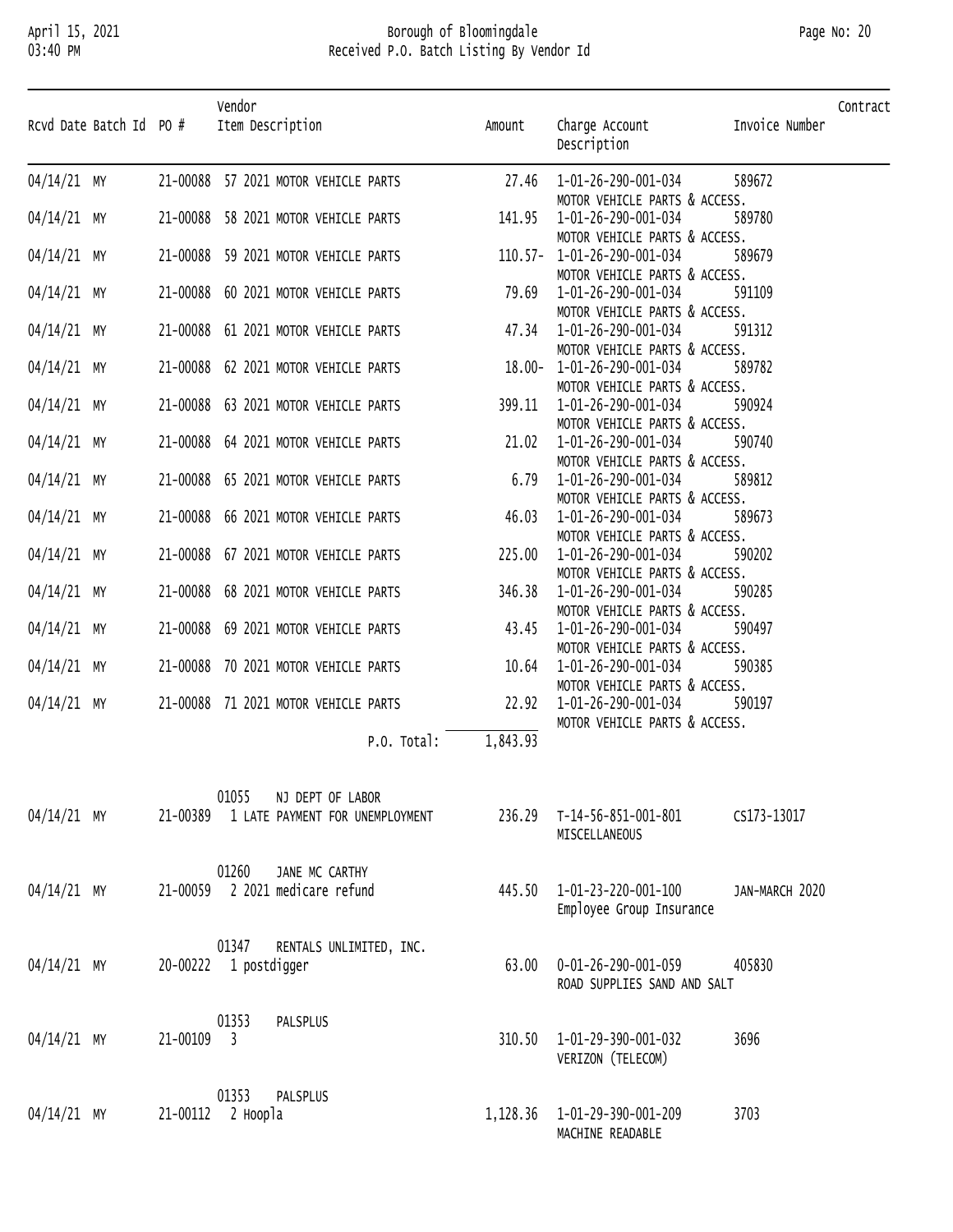### April 15, 2021 Borough of Bloomingdale Page No: 20 03:40 PM Received P.O. Batch Listing By Vendor Id

| Rcvd Date Batch Id PO #    |          | Vendor<br>Item Description                                                   | Amount   | Charge Account<br>Description                                                                                                                                                                                                                                                     | Invoice Number   | Contract |
|----------------------------|----------|------------------------------------------------------------------------------|----------|-----------------------------------------------------------------------------------------------------------------------------------------------------------------------------------------------------------------------------------------------------------------------------------|------------------|----------|
| $04/14/21$ MY              |          | 21-00088 57 2021 MOTOR VEHICLE PARTS                                         |          | 27.46  1-01-26-290-001-034                                                                                                                                                                                                                                                        | 589672           |          |
| 04/14/21 MY                |          | 21-00088 58 2021 MOTOR VEHICLE PARTS                                         |          | MOTOR VEHICLE PARTS & ACCESS.<br>$141.95$ $1-01-26-290-001-034$<br>MOTOR VEHICLE PARTS & ACCESS.                                                                                                                                                                                  | 589780           |          |
| 04/14/21 MY                |          | 21-00088 59 2021 MOTOR VEHICLE PARTS                                         |          | MOTOR VEHICLE PARTS<br>110.57- 1-01-26-290-001-034<br>MOTOR VEHICLE PARTS & ACCESS.                                                                                                                                                                                               | 589679           |          |
| 04/14/21 MY                |          | 21-00088 60 2021 MOTOR VEHICLE PARTS                                         |          | MOTOR VEHICLE PARTS<br>79.69    1-01-26-290-001-034<br>MOTOR VEHICLE PARTS & ACCESS.                                                                                                                                                                                              | 591109           |          |
| 04/14/21 MY                |          | 21-00088 61 2021 MOTOR VEHICLE PARTS                                         |          | MOTOR VEHICLE PARTS<br>47.34 1-01-26-290-001-034<br>MOTOR VEHICLE PARTS & ACCESS.                                                                                                                                                                                                 | 591312           |          |
| 04/14/21 MY                |          | 21-00088 62 2021 MOTOR VEHICLE PARTS                                         |          | $18.00 - 1 - 01 - 26 - 290 - 001 - 034$<br>MOTOR VEHICLE PARTS & ACCESS.                                                                                                                                                                                                          | 589782           |          |
| 04/14/21 MY                |          | 21-00088 63 2021 MOTOR VEHICLE PARTS                                         |          | 399.11  1-01-26-290-001-034<br>MOTOR VEHICLE PARTS & ACCESS.                                                                                                                                                                                                                      | 590924           |          |
| 04/14/21 MY<br>04/14/21 MY |          | 21-00088 64 2021 MOTOR VEHICLE PARTS<br>21-00088 65 2021 MOTOR VEHICLE PARTS |          | $21.02 \t 1-01-26-290-001-034$<br>MOTOR VEHICLE PARTS & ACCESS.                                                                                                                                                                                                                   | 590740<br>589812 |          |
| 04/14/21 MY                |          | 21-00088 66 2021 MOTOR VEHICLE PARTS                                         |          | 21.02 1-01-26-290-001-034<br>MOTOR VEHICLE PARTS<br>6.79 1-01-26-290-001-034<br>MOTOR VEHICLE PARTS<br>46.03 1-01-26-290-001-034<br>MOTOR VEHICLE PARTS<br>225.00 1-01-26-290-001-034<br>MOTOR VEHICLE PARTS<br>346.38 1-01-26-290-001-034<br>MO<br>MOTOR VEHICLE PARTS & ACCESS. | 589673           |          |
| 04/14/21 MY                |          | 21-00088 67 2021 MOTOR VEHICLE PARTS                                         |          | MOTOR VEHICLE PARTS & ACCESS.                                                                                                                                                                                                                                                     | 590202           |          |
| 04/14/21 MY                |          | 21-00088 68 2021 MOTOR VEHICLE PARTS                                         |          | MOTOR VEHICLE PARTS & ACCESS.<br>MOTOR VEHICLE PARTS & ACCESS.                                                                                                                                                                                                                    | 590285           |          |
| 04/14/21 MY                |          | 21-00088 69 2021 MOTOR VEHICLE PARTS                                         |          | MOTOR VEHICLE PARTS & ACCESS.                                                                                                                                                                                                                                                     | 590497           |          |
| 04/14/21 MY                |          | 21-00088 70 2021 MOTOR VEHICLE PARTS                                         |          | MOTOR VEHICLE PARTS & ACCESS.                                                                                                                                                                                                                                                     | 590385           |          |
| 04/14/21 MY                |          | 21-00088 71 2021 MOTOR VEHICLE PARTS                                         |          | 22.92  1-01-26-290-001-034<br>MOTOR VEHICLE PARTS & ACCESS.                                                                                                                                                                                                                       | 590197           |          |
|                            |          | P.O. Total:                                                                  | 1,843.93 |                                                                                                                                                                                                                                                                                   |                  |          |
| $04/14/21$ MY              |          | 01055<br>NJ DEPT OF LABOR<br>21-00389 1 LATE PAYMENT FOR UNEMPLOYMENT        | 236.29   | T-14-56-851-001-801<br>MISCELLANEOUS                                                                                                                                                                                                                                              | CS173-13017      |          |
| 04/14/21 MY                |          | 01260<br>JANE MC CARTHY<br>21-00059 2 2021 medicare refund                   |          | 445.50  1-01-23-220-001-100<br>Employee Group Insurance                                                                                                                                                                                                                           | JAN-MARCH 2020   |          |
| 04/14/21 MY                |          | 01347<br>RENTALS UNLIMITED, INC.<br>20-00222 1 postdigger                    | 63.00    | 0-01-26-290-001-059<br>ROAD SUPPLIES SAND AND SALT                                                                                                                                                                                                                                | 405830           |          |
| 04/14/21 MY                | 21-00109 | 01353<br>PALSPLUS<br>$\overline{\phantom{a}}$                                | 310.50   | 1-01-29-390-001-032<br>VERIZON (TELECOM)                                                                                                                                                                                                                                          | 3696             |          |
| $04/14/21$ MY              |          | 01353<br>PALSPLUS<br>21-00112 2 Hoopla                                       | 1,128.36 | 1-01-29-390-001-209<br>MACHINE READABLE                                                                                                                                                                                                                                           | 3703             |          |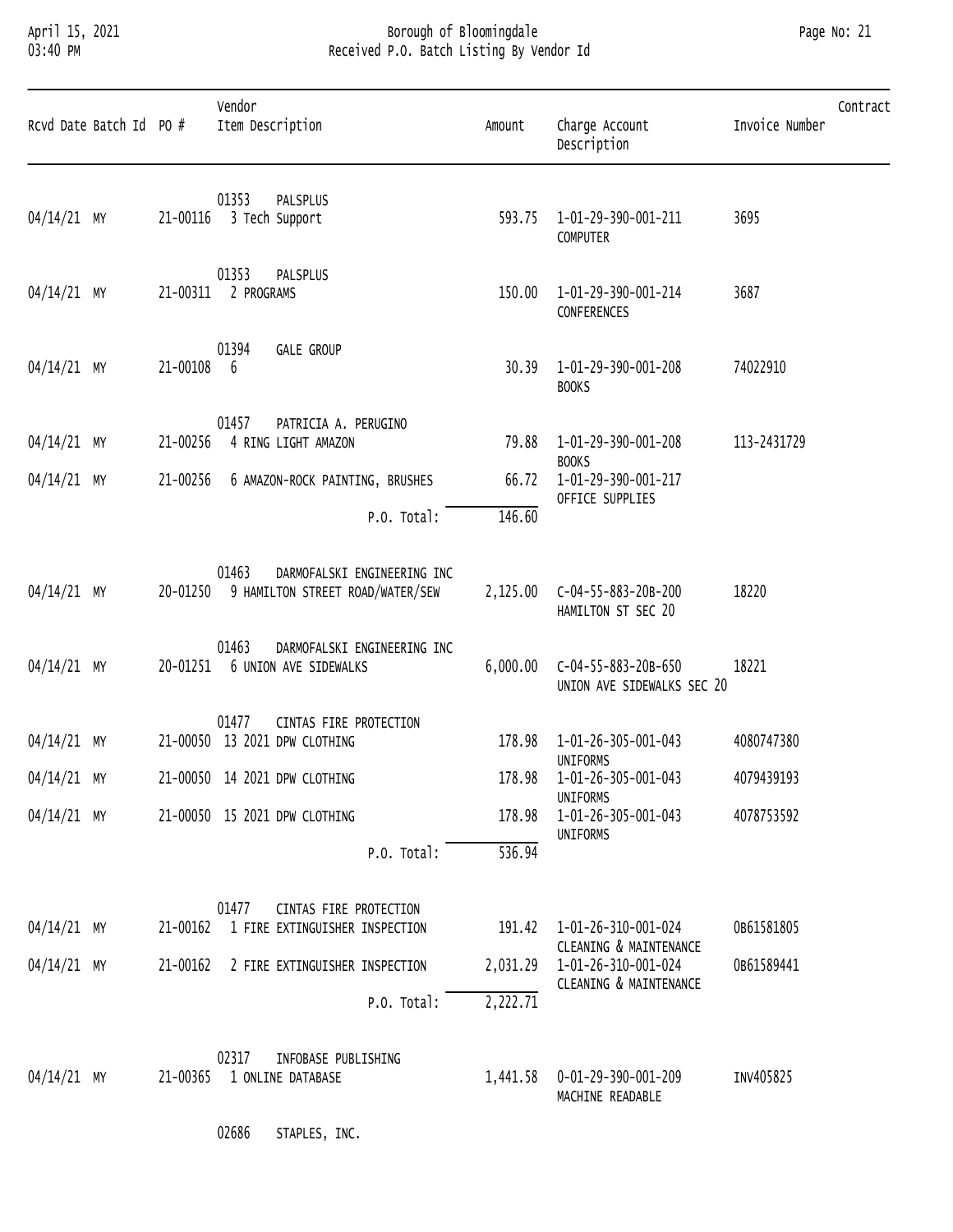# April 15, 2021 Borough of Bloomingdale Page No: 21 03:40 PM Received P.O. Batch Listing By Vendor Id

|             | Rcvd Date Batch Id PO # |            | Vendor<br>Item Description                                                        | Amount               | Charge Account<br>Description                     | Contract<br>Invoice Number |
|-------------|-------------------------|------------|-----------------------------------------------------------------------------------|----------------------|---------------------------------------------------|----------------------------|
| 04/14/21 MY |                         |            | 01353<br>PALSPLUS<br>21-00116 3 Tech Support                                      |                      | 593.75 1-01-29-390-001-211<br>COMPUTER            | 3695                       |
| 04/14/21 MY |                         |            | 01353<br>PALSPLUS<br>21-00311 2 PROGRAMS                                          | 150.00               | 1-01-29-390-001-214<br>CONFERENCES                | 3687                       |
| 04/14/21 MY |                         | 21-00108 6 | 01394<br><b>GALE GROUP</b>                                                        | 30.39                | 1-01-29-390-001-208<br><b>BOOKS</b>               | 74022910                   |
| 04/14/21 MY |                         |            | 01457<br>PATRICIA A. PERUGINO<br>21-00256 4 RING LIGHT AMAZON                     |                      | 79.88 1-01-29-390-001-208<br><b>BOOKS</b>         | 113-2431729                |
| 04/14/21 MY |                         |            | 21-00256 6 AMAZON-ROCK PAINTING, BRUSHES<br>P.O. Total:                           | 146.60               | 66.72  1-01-29-390-001-217<br>OFFICE SUPPLIES     |                            |
| 04/14/21 MY |                         |            | 01463<br>DARMOFALSKI ENGINEERING INC<br>20-01250 9 HAMILTON STREET ROAD/WATER/SEW |                      | HAMILTON ST SEC 20                                | 18220                      |
| 04/14/21 MY |                         |            | 01463<br>DARMOFALSKI ENGINEERING INC<br>20-01251 6 UNION AVE SIDEWALKS            | 6,000.00             | C-04-55-883-20B-650<br>UNION AVE SIDEWALKS SEC 20 | 18221                      |
| 04/14/21 MY |                         |            | 01477<br>CINTAS FIRE PROTECTION<br>21-00050 13 2021 DPW CLOTHING                  | 178.98               | 1-01-26-305-001-043<br>UNIFORMS                   | 4080747380                 |
| 04/14/21 MY |                         |            | 21-00050 14 2021 DPW CLOTHING                                                     |                      | 178.98  1-01-26-305-001-043<br><b>UNIFORMS</b>    | 4079439193                 |
| 04/14/21 MY |                         |            | 21-00050 15 2021 DPW CLOTHING                                                     | 178.98               | 1-01-26-305-001-043<br>UNIFORMS                   | 4078753592                 |
|             |                         |            | P.O. Total:                                                                       | 536.94               |                                                   |                            |
| 04/14/21 MY |                         |            | 01477<br>CINTAS FIRE PROTECTION<br>21-00162 1 FIRE EXTINGUISHER INSPECTION        | 191.42               | 1-01-26-310-001-024<br>CLEANING & MAINTENANCE     | OB61581805                 |
| 04/14/21 MY |                         | 21-00162   | 2 FIRE EXTINGUISHER INSPECTION<br>P.O. Total:                                     | 2,031.29<br>2,222.71 | 1-01-26-310-001-024<br>CLEANING & MAINTENANCE     | 0B61589441                 |
|             |                         |            |                                                                                   |                      |                                                   |                            |

|                       | UZ31<br>INFOBASE                  | PUBLISHING |                     |           |  |
|-----------------------|-----------------------------------|------------|---------------------|-----------|--|
| 04/14/21<br><b>MY</b> | 1-00365<br>ONLINE DATABASE<br>- - | 441.58 ــ  | 0-01-29-390-001-209 | INV405825 |  |
|                       |                                   |            | READABLE<br>MACHINE |           |  |

02686 STAPLES, INC.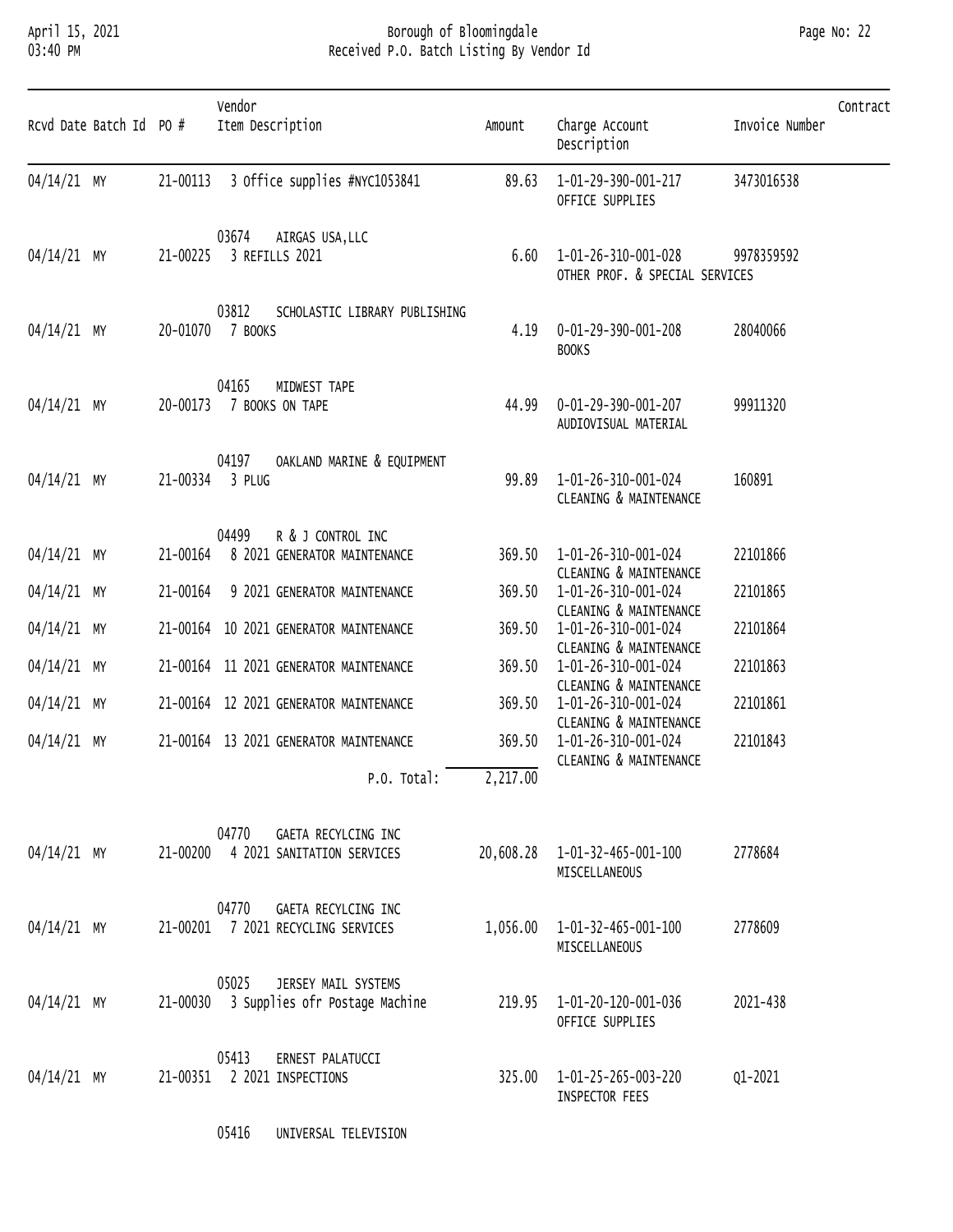### April 15, 2021 Borough of Bloomingdale Page No: 22 03:40 PM Received P.O. Batch Listing By Vendor Id

| Rcvd Date Batch Id PO # |          | Vendor<br>Item Description                                              | Amount   | Charge Account<br>Description                                           | Contract<br>Invoice Number |
|-------------------------|----------|-------------------------------------------------------------------------|----------|-------------------------------------------------------------------------|----------------------------|
| 04/14/21 MY             | 21-00113 | 3 Office supplies #NYC1053841                                           | 89.63    | 1-01-29-390-001-217<br>OFFICE SUPPLIES                                  | 3473016538                 |
| 04/14/21 MY             | 21-00225 | 03674<br>AIRGAS USA, LLC<br>3 REFILLS 2021                              | 6.60     | 1-01-26-310-001-028<br>OTHER PROF. & SPECIAL SERVICES                   | 9978359592                 |
| 04/14/21 MY             |          | 03812<br>SCHOLASTIC LIBRARY PUBLISHING<br>20-01070 7 BOOKS              | 4.19     | 0-01-29-390-001-208<br><b>BOOKS</b>                                     | 28040066                   |
| 04/14/21 MY             | 20-00173 | 04165<br>MIDWEST TAPE<br>7 BOOKS ON TAPE                                | 44.99    | 0-01-29-390-001-207<br>AUDIOVISUAL MATERIAL                             | 99911320                   |
| 04/14/21 MY             |          | 04197<br>OAKLAND MARINE & EQUIPMENT<br>21-00334 3 PLUG                  | 99.89    | 1-01-26-310-001-024<br>CLEANING & MAINTENANCE                           | 160891                     |
| 04/14/21 MY             | 21-00164 | 04499<br>R & J CONTROL INC<br>8 2021 GENERATOR MAINTENANCE              | 369.50   | 1-01-26-310-001-024<br>CLEANING & MAINTENANCE                           | 22101866                   |
| 04/14/21 MY             | 21-00164 | 9 2021 GENERATOR MAINTENANCE                                            | 369.50   | 1-01-26-310-001-024                                                     | 22101865                   |
| 04/14/21 MY             |          | 21-00164 10 2021 GENERATOR MAINTENANCE                                  | 369.50   | CLEANING & MAINTENANCE<br>1-01-26-310-001-024<br>CLEANING & MAINTENANCE | 22101864                   |
| 04/14/21 MY             |          | 21-00164 11 2021 GENERATOR MAINTENANCE                                  | 369.50   | 1-01-26-310-001-024                                                     | 22101863                   |
| $04/14/21$ MY           |          | 21-00164 12 2021 GENERATOR MAINTENANCE                                  | 369.50   | CLEANING & MAINTENANCE<br>1-01-26-310-001-024<br>CLEANING & MAINTENANCE | 22101861                   |
| $04/14/21$ MY           |          | 21-00164 13 2021 GENERATOR MAINTENANCE                                  | 369.50   | 1-01-26-310-001-024<br>CLEANING & MAINTENANCE                           | 22101843                   |
|                         |          | P.O. Total:                                                             | 2,217.00 |                                                                         |                            |
| 04/14/21 MY             |          | 04770<br>GAETA RECYLCING INC<br>21-00200 4 2021 SANITATION SERVICES     |          | 20,608.28  1-01-32-465-001-100<br>MISCELLANEOUS                         | 2778684                    |
| 04/14/21 MY             |          | 04770<br>GAETA RECYLCING INC<br>21-00201 7 2021 RECYCLING SERVICES      |          | 1,056.00  1-01-32-465-001-100<br>MISCELLANEOUS                          | 2778609                    |
| 04/14/21 MY             |          | 05025<br>JERSEY MAIL SYSTEMS<br>21-00030 3 Supplies ofr Postage Machine | 219.95   | 1-01-20-120-001-036<br>OFFICE SUPPLIES                                  | 2021-438                   |
| 04/14/21 MY             |          | 05413<br>ERNEST PALATUCCI<br>21-00351 2 2021 INSPECTIONS                |          | 325.00 1-01-25-265-003-220<br>INSPECTOR FEES                            | Q1-2021                    |

05416 UNIVERSAL TELEVISION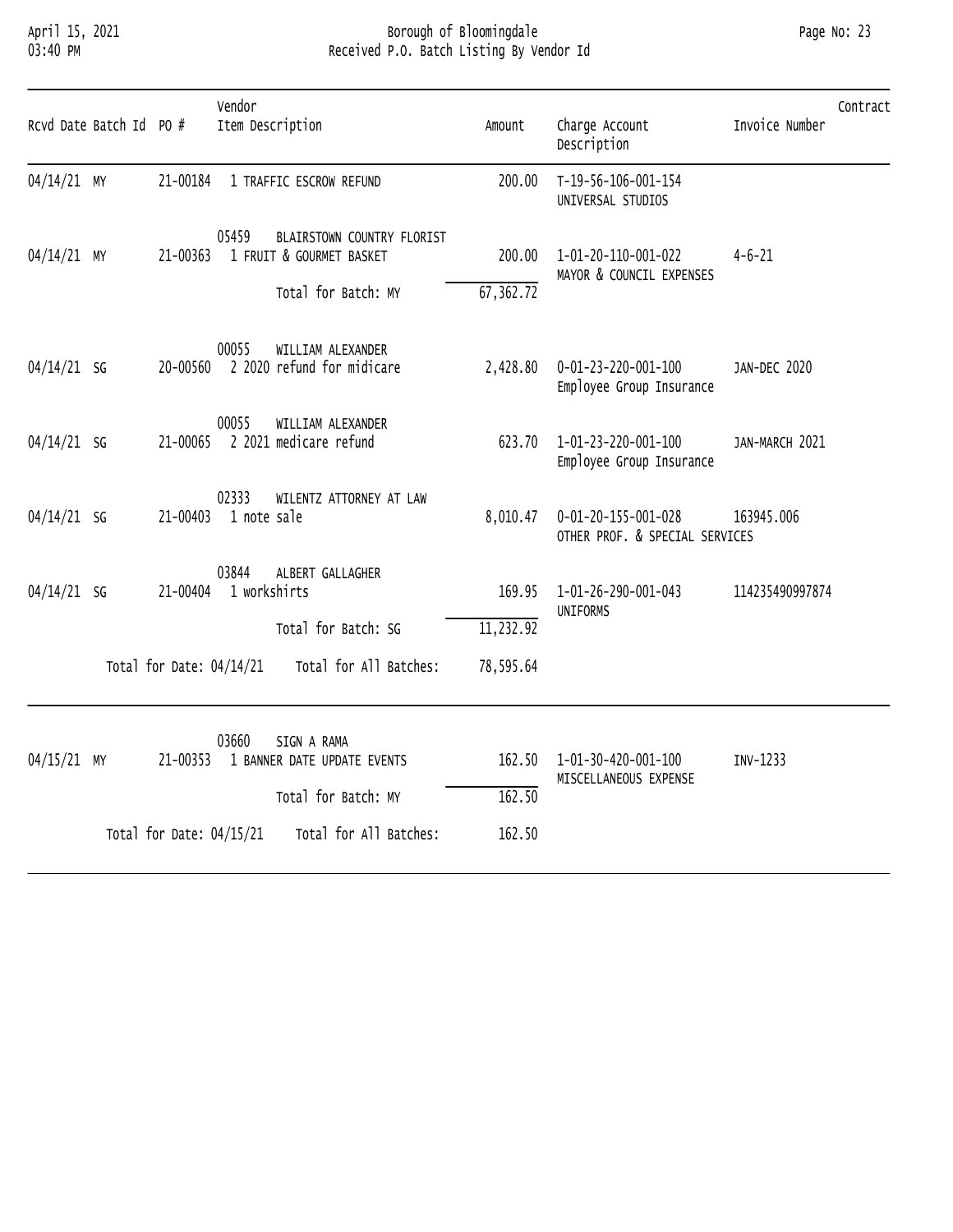# April 15, 2021 Borough of Bloomingdale Page No: 23 03:40 PM Received P.O. Batch Listing By Vendor Id

| Rcvd Date Batch Id PO # |                            | Vendor<br>Item Description     |                                                        | Amount              | Charge Account<br>Description                         | Invoice Number  | Contract |
|-------------------------|----------------------------|--------------------------------|--------------------------------------------------------|---------------------|-------------------------------------------------------|-----------------|----------|
| 04/14/21 MY             |                            |                                | 21-00184 1 TRAFFIC ESCROW REFUND                       | 200.00              | T-19-56-106-001-154<br>UNIVERSAL STUDIOS              |                 |          |
| 04/14/21 MY             | 21-00363                   | 05459                          | BLAIRSTOWN COUNTRY FLORIST<br>1 FRUIT & GOURMET BASKET | 200.00              | 1-01-20-110-001-022<br>MAYOR & COUNCIL EXPENSES       | $4 - 6 - 21$    |          |
|                         |                            |                                | Total for Batch: MY                                    | 67,362.72           |                                                       |                 |          |
| $04/14/21$ SG           | 20-00560                   | 00055                          | WILLIAM ALEXANDER<br>2 2020 refund for midicare        | 2,428.80            | 0-01-23-220-001-100<br>Employee Group Insurance       | JAN-DEC 2020    |          |
| $04/14/21$ SG           |                            | 00055                          | WILLIAM ALEXANDER<br>21-00065 2 2021 medicare refund   | 623.70              | 1-01-23-220-001-100<br>Employee Group Insurance       | JAN-MARCH 2021  |          |
| $04/14/21$ SG           |                            | 02333<br>21-00403 1 note sale  | WILENTZ ATTORNEY AT LAW                                | 8,010.47            | 0-01-20-155-001-028<br>OTHER PROF. & SPECIAL SERVICES | 163945.006      |          |
| $04/14/21$ SG           |                            | 03844<br>21-00404 1 workshirts | ALBERT GALLAGHER<br>Total for Batch: SG                | 169.95<br>11,232.92 | 1-01-26-290-001-043<br>UNIFORMS                       | 114235490997874 |          |
|                         | Total for Date: $04/14/21$ |                                | Total for All Batches:                                 | 78,595.64           |                                                       |                 |          |
| 04/15/21 MY             | 21-00353                   | 03660                          | SIGN A RAMA<br>1 BANNER DATE UPDATE EVENTS             | 162.50              | 1-01-30-420-001-100                                   | INV-1233        |          |
|                         |                            |                                | Total for Batch: MY                                    | 162.50              | MISCELLANEOUS EXPENSE                                 |                 |          |
|                         | Total for Date: 04/15/21   |                                | Total for All Batches:                                 | 162.50              |                                                       |                 |          |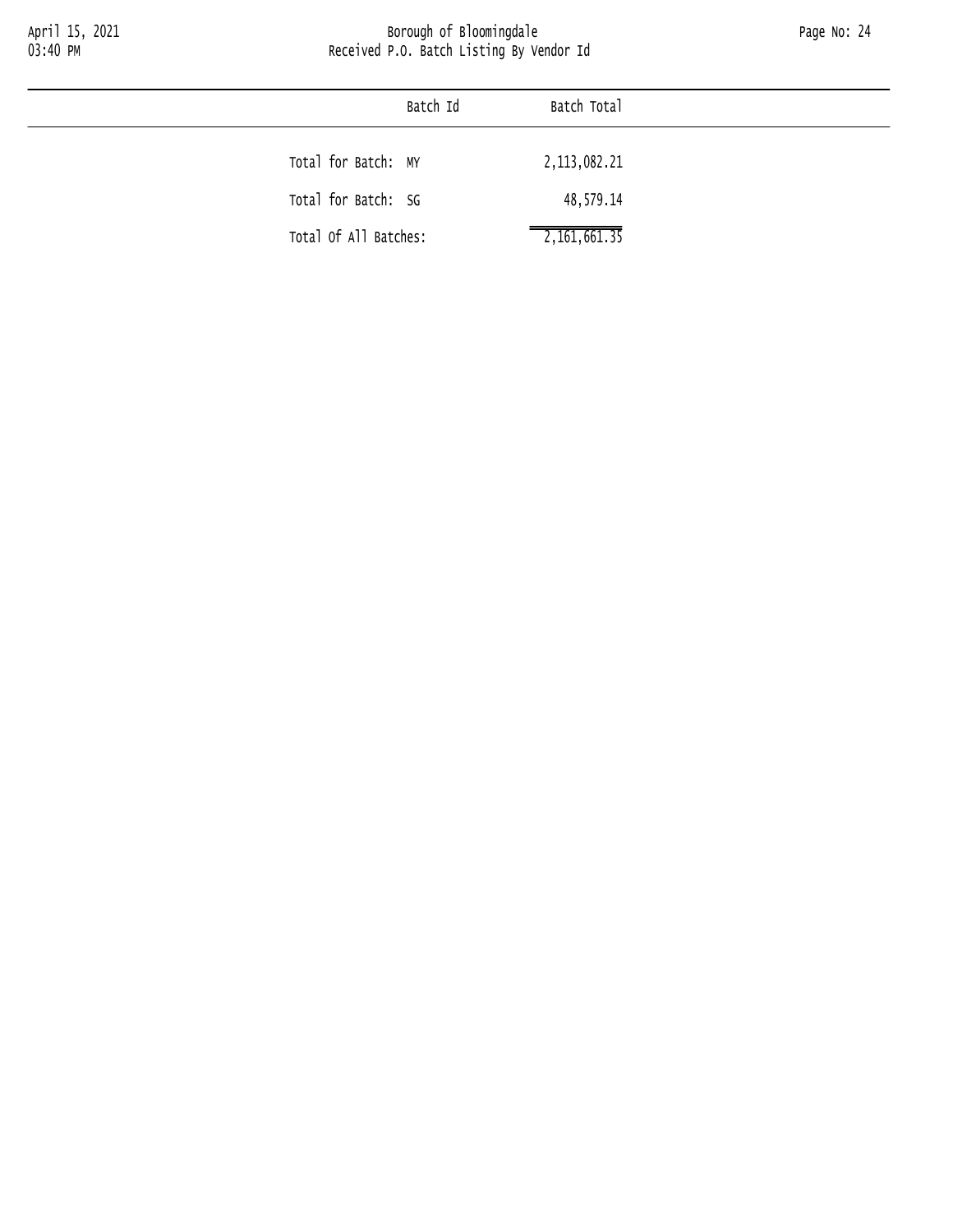|                       | Batch Id | Batch Total               |
|-----------------------|----------|---------------------------|
| Total for Batch: MY   |          | 2, 113, 082. 21           |
|                       |          |                           |
| Total for Batch: SG   |          | 48,579.14                 |
| Total Of All Batches: |          | $\overline{2,161,661.35}$ |